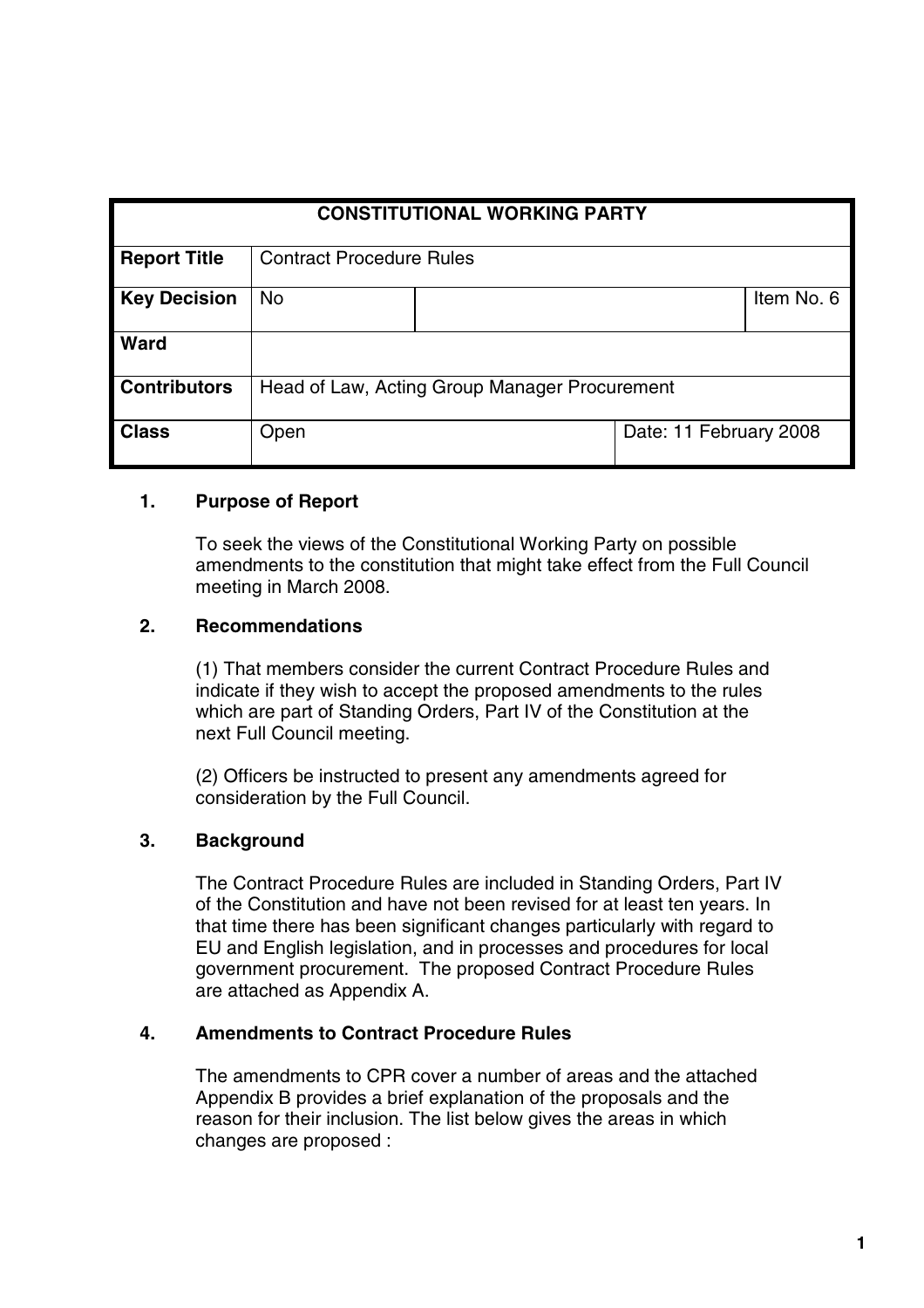| <b>CONSTITUTIONAL WORKING PARTY</b> |                                               |  |                        |            |  |
|-------------------------------------|-----------------------------------------------|--|------------------------|------------|--|
| <b>Report Title</b>                 | <b>Contract Procedure Rules</b>               |  |                        |            |  |
| <b>Key Decision</b>                 | <b>No</b>                                     |  |                        | Item No. 6 |  |
| <b>Ward</b>                         |                                               |  |                        |            |  |
| <b>Contributors</b>                 | Head of Law, Acting Group Manager Procurement |  |                        |            |  |
| <b>Class</b>                        | Open                                          |  | Date: 11 February 2008 |            |  |

#### **1. Purpose of Report**

To seek the views of the Constitutional Working Party on possible amendments to the constitution that might take effect from the Full Council meeting in March 2008.

#### **2. Recommendations**

(1) That members consider the current Contract Procedure Rules and indicate if they wish to accept the proposed amendments to the rules which are part of Standing Orders, Part IV of the Constitution at the next Full Council meeting.

(2) Officers be instructed to present any amendments agreed for consideration by the Full Council.

#### **3. Background**

The Contract Procedure Rules are included in Standing Orders, Part IV of the Constitution and have not been revised for at least ten years. In that time there has been significant changes particularly with regard to EU and English legislation, and in processes and procedures for local government procurement. The proposed Contract Procedure Rules are attached as Appendix A.

#### **4. Amendments to Contract Procedure Rules**

The amendments to CPR cover a number of areas and the attached Appendix B provides a brief explanation of the proposals and the reason for their inclusion. The list below gives the areas in which changes are proposed :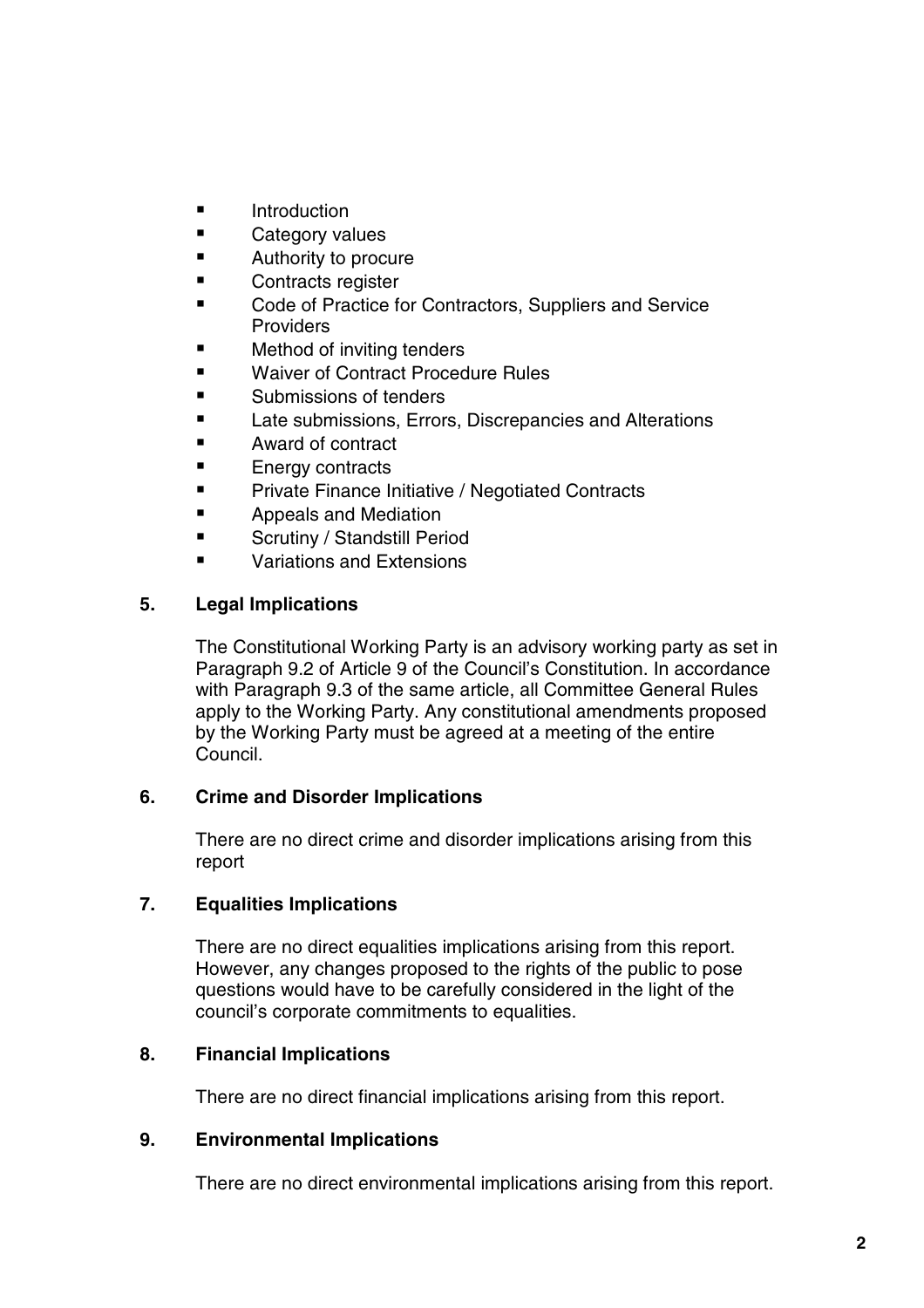- **E** Introduction
- **E** Category values
- **E** Authority to procure
- **E** Contracts register
- **Code of Practice for Contractors, Suppliers and Service Providers**
- **E** Method of inviting tenders
- Waiver of Contract Procedure Rules
- **Example 3** Submissions of tenders
- **Late submissions, Errors, Discrepancies and Alterations**
- Award of contract
- **Energy contracts**
- **Private Finance Initiative / Negotiated Contracts**
- **E** Appeals and Mediation
- **Example 3 Scrutiny / Standstill Period**
- Variations and Extensions

#### **5. Legal Implications**

The Constitutional Working Party is an advisory working party as set in Paragraph 9.2 of Article 9 of the Council's Constitution. In accordance with Paragraph 9.3 of the same article, all Committee General Rules apply to the Working Party. Any constitutional amendments proposed by the Working Party must be agreed at a meeting of the entire Council.

#### **6. Crime and Disorder Implications**

There are no direct crime and disorder implications arising from this report

#### **7. Equalities Implications**

There are no direct equalities implications arising from this report. However, any changes proposed to the rights of the public to pose questions would have to be carefully considered in the light of the council's corporate commitments to equalities.

#### **8. Financial Implications**

There are no direct financial implications arising from this report.

#### **9. Environmental Implications**

There are no direct environmental implications arising from this report.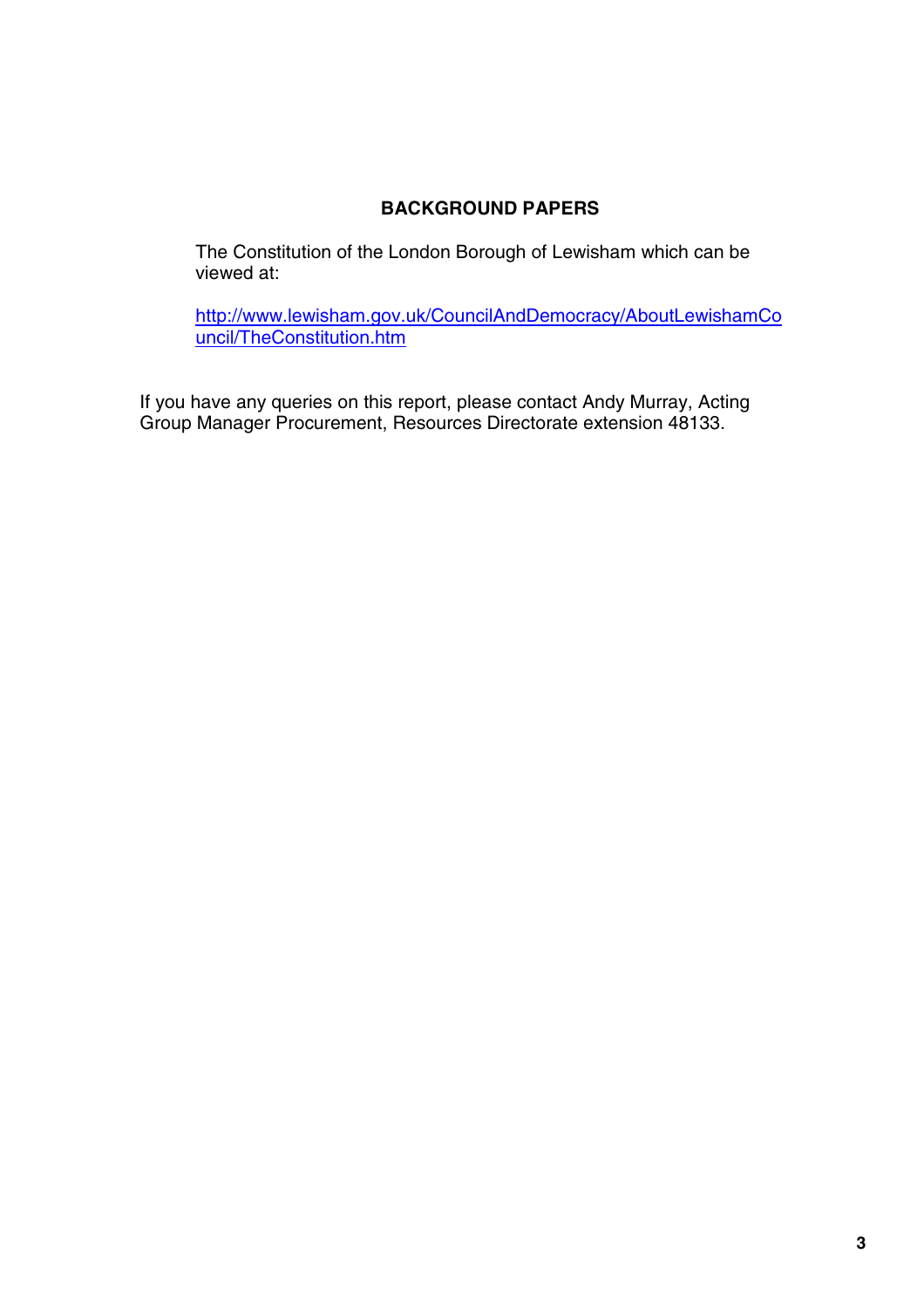#### **BACKGROUND PAPERS**

The Constitution of the London Borough of Lewisham which can be viewed at:

http://www.lewisham.gov.uk/CouncilAndDemocracy/AboutLewishamCo uncil/TheConstitution.htm

If you have any queries on this report, please contact Andy Murray, Acting Group Manager Procurement, Resources Directorate extension 48133.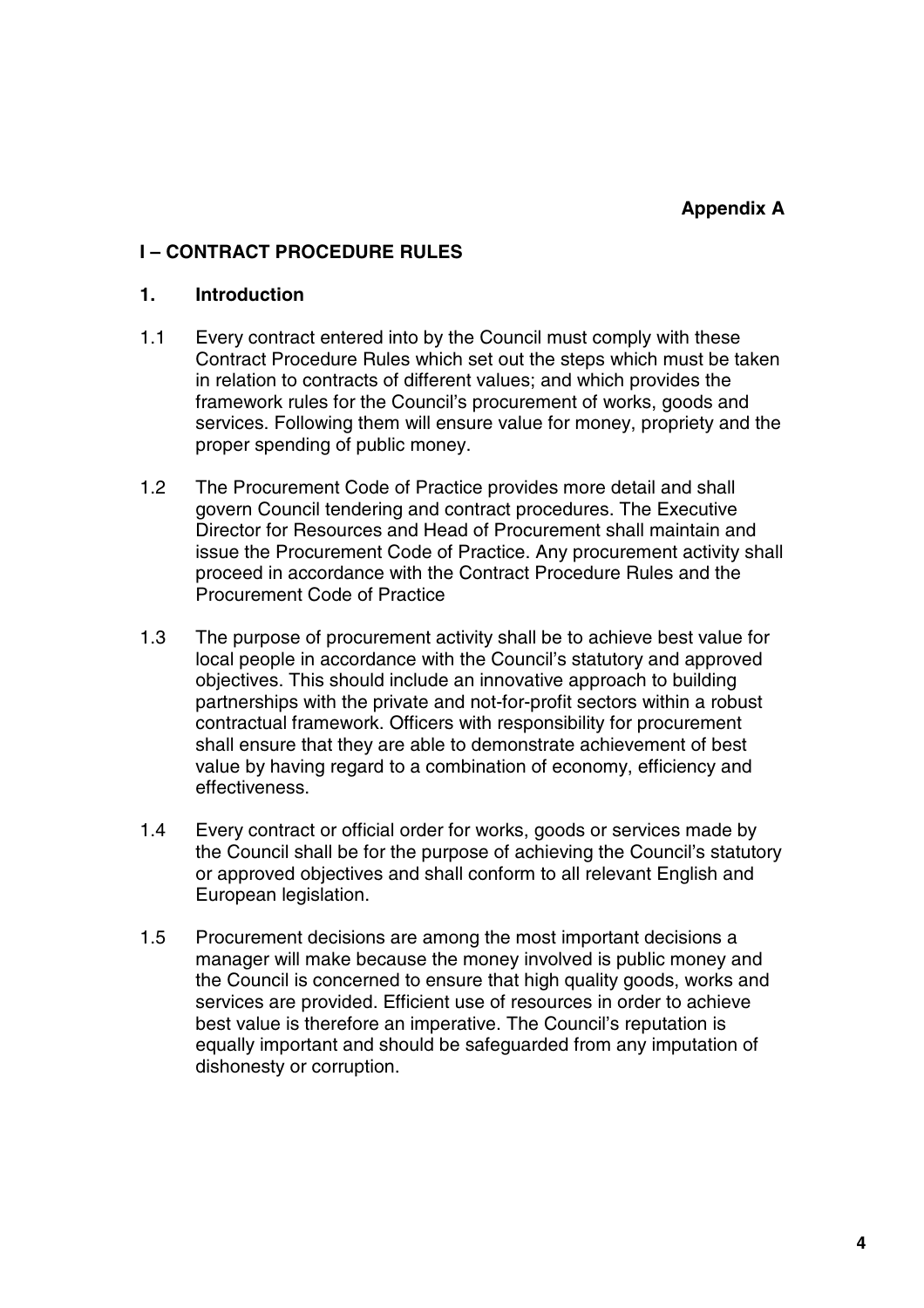#### **I – CONTRACT PROCEDURE RULES**

#### **1. Introduction**

- 1.1 Every contract entered into by the Council must comply with these Contract Procedure Rules which set out the steps which must be taken in relation to contracts of different values; and which provides the framework rules for the Council's procurement of works, goods and services. Following them will ensure value for money, propriety and the proper spending of public money.
- 1.2 The Procurement Code of Practice provides more detail and shall govern Council tendering and contract procedures. The Executive Director for Resources and Head of Procurement shall maintain and issue the Procurement Code of Practice. Any procurement activity shall proceed in accordance with the Contract Procedure Rules and the Procurement Code of Practice
- 1.3 The purpose of procurement activity shall be to achieve best value for local people in accordance with the Council's statutory and approved objectives. This should include an innovative approach to building partnerships with the private and not-for-profit sectors within a robust contractual framework. Officers with responsibility for procurement shall ensure that they are able to demonstrate achievement of best value by having regard to a combination of economy, efficiency and effectiveness.
- 1.4 Every contract or official order for works, goods or services made by the Council shall be for the purpose of achieving the Council's statutory or approved objectives and shall conform to all relevant English and European legislation.
- 1.5 Procurement decisions are among the most important decisions a manager will make because the money involved is public money and the Council is concerned to ensure that high quality goods, works and services are provided. Efficient use of resources in order to achieve best value is therefore an imperative. The Council's reputation is equally important and should be safeguarded from any imputation of dishonesty or corruption.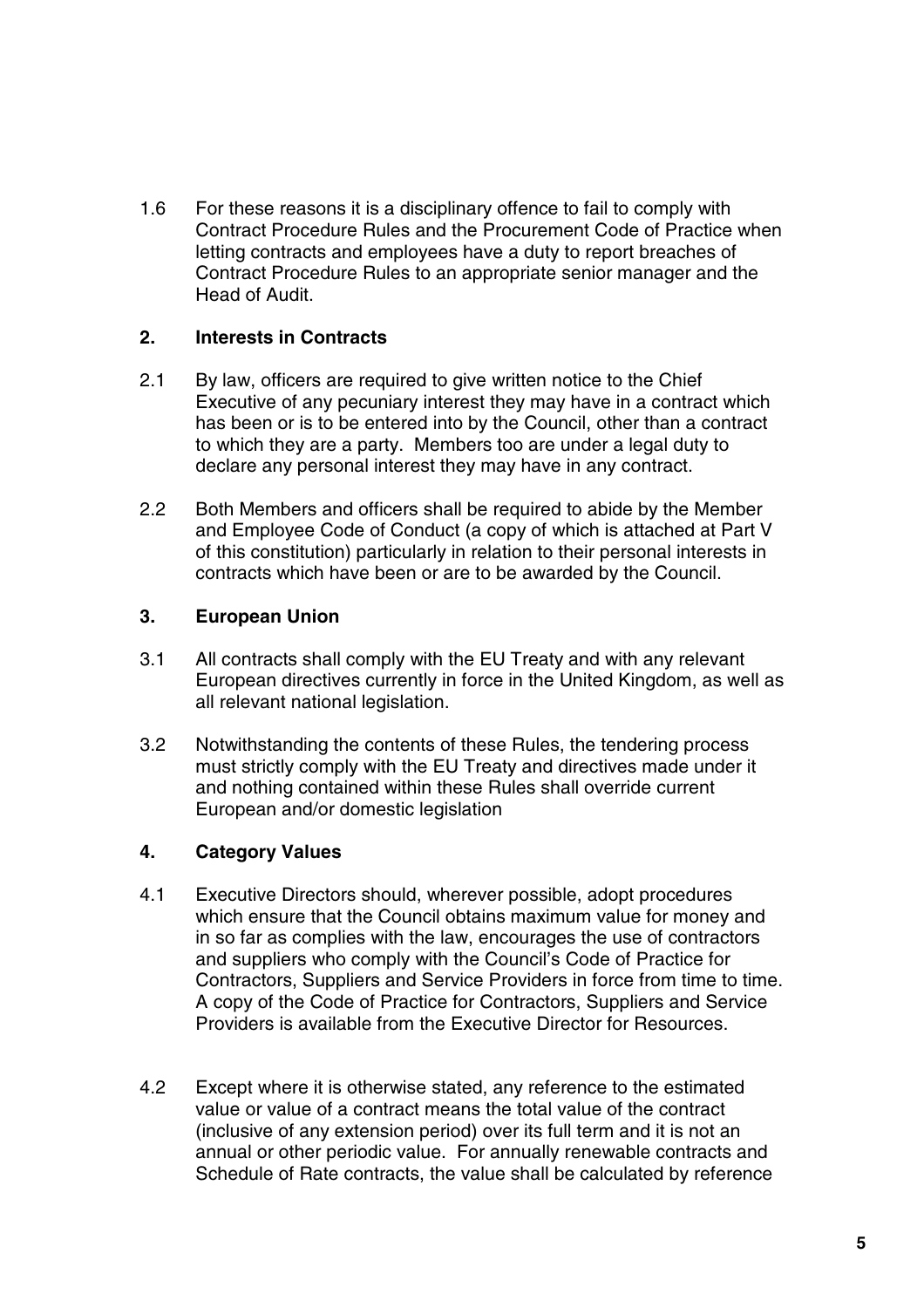1.6 For these reasons it is a disciplinary offence to fail to comply with Contract Procedure Rules and the Procurement Code of Practice when letting contracts and employees have a duty to report breaches of Contract Procedure Rules to an appropriate senior manager and the Head of Audit.

#### **2. Interests in Contracts**

- 2.1 By law, officers are required to give written notice to the Chief Executive of any pecuniary interest they may have in a contract which has been or is to be entered into by the Council, other than a contract to which they are a party. Members too are under a legal duty to declare any personal interest they may have in any contract.
- 2.2 Both Members and officers shall be required to abide by the Member and Employee Code of Conduct (a copy of which is attached at Part V of this constitution) particularly in relation to their personal interests in contracts which have been or are to be awarded by the Council.

#### **3. European Union**

- 3.1 All contracts shall comply with the EU Treaty and with any relevant European directives currently in force in the United Kingdom, as well as all relevant national legislation.
- 3.2 Notwithstanding the contents of these Rules, the tendering process must strictly comply with the EU Treaty and directives made under it and nothing contained within these Rules shall override current European and/or domestic legislation

#### **4. Category Values**

- 4.1 Executive Directors should, wherever possible, adopt procedures which ensure that the Council obtains maximum value for money and in so far as complies with the law, encourages the use of contractors and suppliers who comply with the Council's Code of Practice for Contractors, Suppliers and Service Providers in force from time to time. A copy of the Code of Practice for Contractors, Suppliers and Service Providers is available from the Executive Director for Resources.
- 4.2 Except where it is otherwise stated, any reference to the estimated value or value of a contract means the total value of the contract (inclusive of any extension period) over its full term and it is not an annual or other periodic value. For annually renewable contracts and Schedule of Rate contracts, the value shall be calculated by reference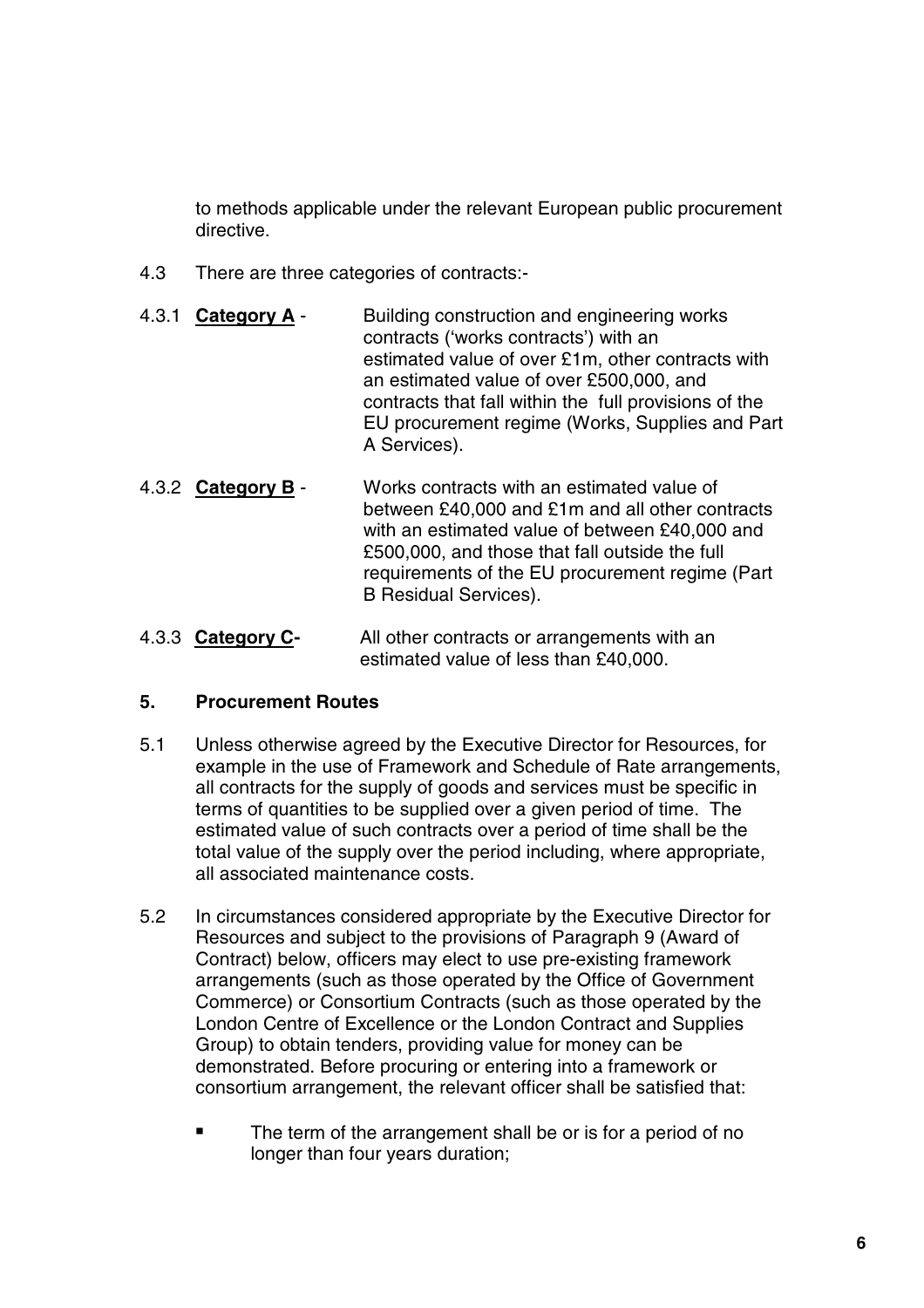to methods applicable under the relevant European public procurement directive.

- 4.3 There are three categories of contracts:-
- 4.3.1 **Category A** Building construction and engineering works contracts ('works contracts') with an estimated value of over £1m, other contracts with an estimated value of over £500,000, and contracts that fall within the full provisions of the EU procurement regime (Works, Supplies and Part A Services).
- 4.3.2 **Category B** Works contracts with an estimated value of between £40,000 and £1m and all other contracts with an estimated value of between £40,000 and £500,000, and those that fall outside the full requirements of the EU procurement regime (Part B Residual Services).
- 4.3.3 **Category C-** All other contracts or arrangements with an estimated value of less than £40,000.

#### **5. Procurement Routes**

- 5.1 Unless otherwise agreed by the Executive Director for Resources, for example in the use of Framework and Schedule of Rate arrangements, all contracts for the supply of goods and services must be specific in terms of quantities to be supplied over a given period of time. The estimated value of such contracts over a period of time shall be the total value of the supply over the period including, where appropriate, all associated maintenance costs.
- 5.2 In circumstances considered appropriate by the Executive Director for Resources and subject to the provisions of Paragraph 9 (Award of Contract) below, officers may elect to use pre-existing framework arrangements (such as those operated by the Office of Government Commerce) or Consortium Contracts (such as those operated by the London Centre of Excellence or the London Contract and Supplies Group) to obtain tenders, providing value for money can be demonstrated. Before procuring or entering into a framework or consortium arrangement, the relevant officer shall be satisfied that:
	- The term of the arrangement shall be or is for a period of no longer than four years duration;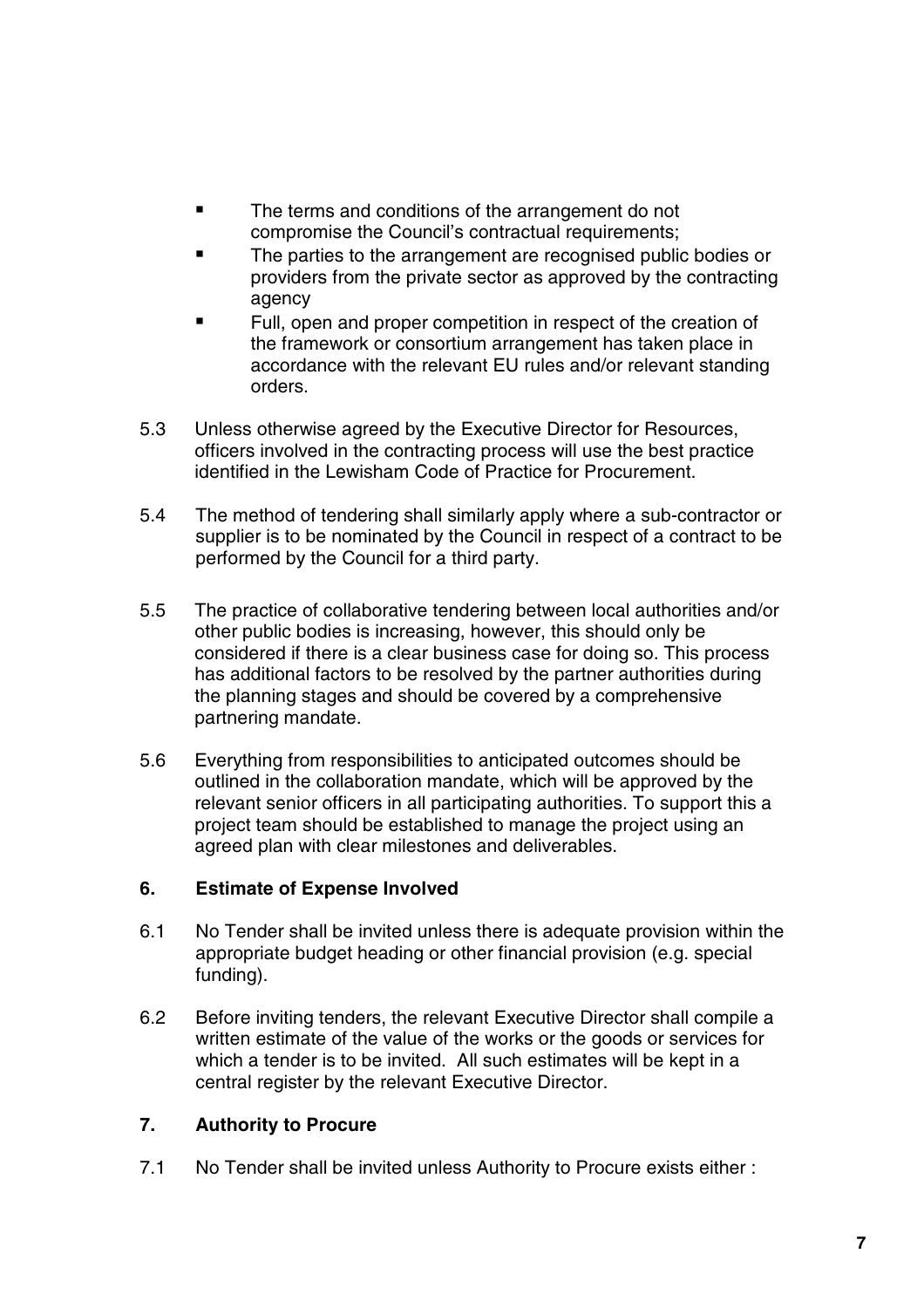- **The terms and conditions of the arrangement do not** compromise the Council's contractual requirements;
- The parties to the arrangement are recognised public bodies or providers from the private sector as approved by the contracting agency
- Full, open and proper competition in respect of the creation of the framework or consortium arrangement has taken place in accordance with the relevant EU rules and/or relevant standing orders.
- 5.3 Unless otherwise agreed by the Executive Director for Resources, officers involved in the contracting process will use the best practice identified in the Lewisham Code of Practice for Procurement.
- 5.4 The method of tendering shall similarly apply where a sub-contractor or supplier is to be nominated by the Council in respect of a contract to be performed by the Council for a third party.
- 5.5 The practice of collaborative tendering between local authorities and/or other public bodies is increasing, however, this should only be considered if there is a clear business case for doing so. This process has additional factors to be resolved by the partner authorities during the planning stages and should be covered by a comprehensive partnering mandate.
- 5.6 Everything from responsibilities to anticipated outcomes should be outlined in the collaboration mandate, which will be approved by the relevant senior officers in all participating authorities. To support this a project team should be established to manage the project using an agreed plan with clear milestones and deliverables.

#### **6. Estimate of Expense Involved**

- 6.1 No Tender shall be invited unless there is adequate provision within the appropriate budget heading or other financial provision (e.g. special funding).
- 6.2 Before inviting tenders, the relevant Executive Director shall compile a written estimate of the value of the works or the goods or services for which a tender is to be invited. All such estimates will be kept in a central register by the relevant Executive Director.

#### **7. Authority to Procure**

7.1 No Tender shall be invited unless Authority to Procure exists either :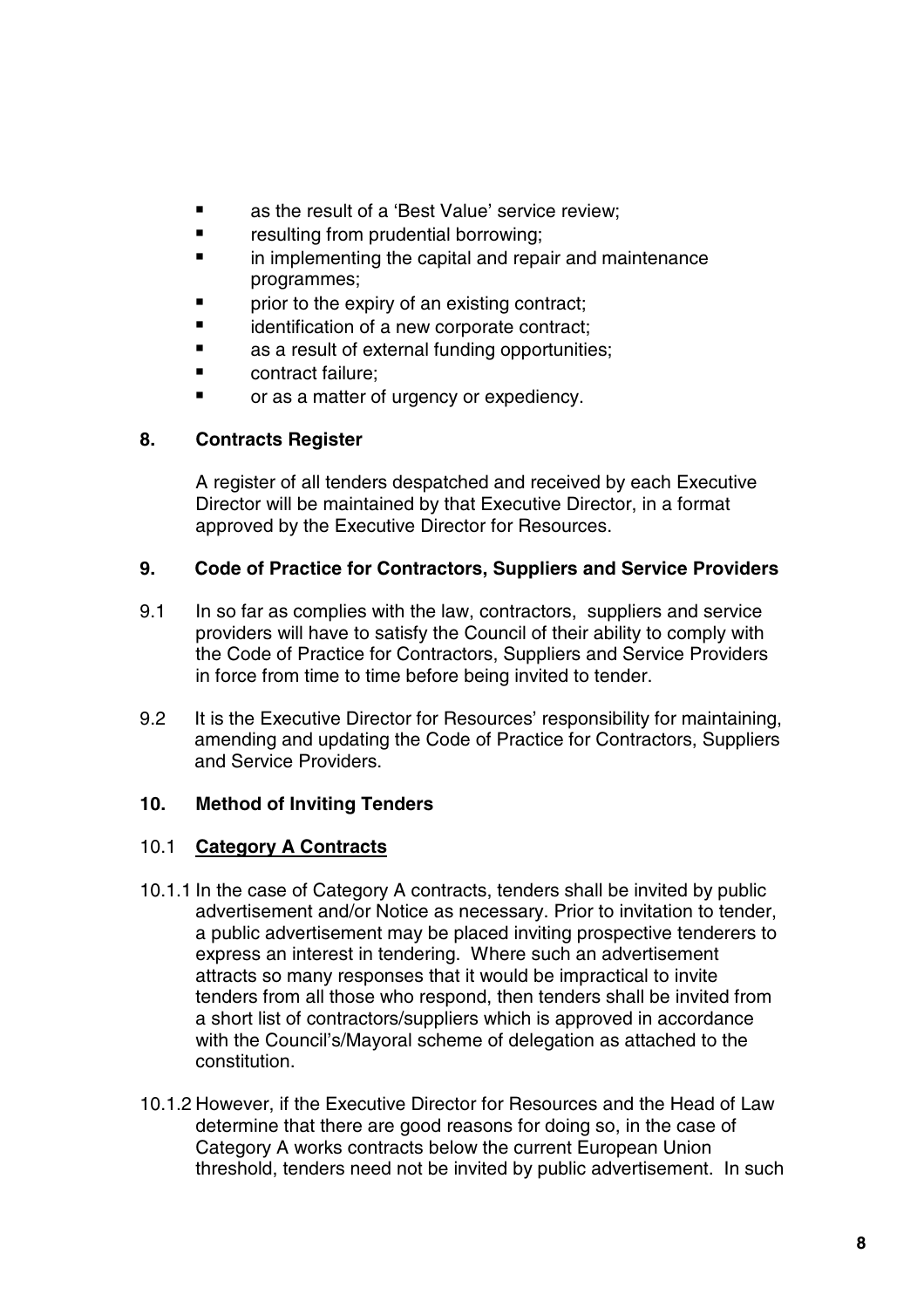- **Example 2** as the result of a 'Best Value' service review;
- **F** resulting from prudential borrowing;
- **imatherism** in implementing the capital and repair and maintenance programmes;
- prior to the expiry of an existing contract;
- **If** identification of a new corporate contract;
- **as a result of external funding opportunities;**
- contract failure:
- **•** or as a matter of urgency or expediency.

#### **8. Contracts Register**

A register of all tenders despatched and received by each Executive Director will be maintained by that Executive Director, in a format approved by the Executive Director for Resources.

#### **9. Code of Practice for Contractors, Suppliers and Service Providers**

- 9.1 In so far as complies with the law, contractors, suppliers and service providers will have to satisfy the Council of their ability to comply with the Code of Practice for Contractors, Suppliers and Service Providers in force from time to time before being invited to tender.
- 9.2 It is the Executive Director for Resources' responsibility for maintaining, amending and updating the Code of Practice for Contractors, Suppliers and Service Providers.

#### **10. Method of Inviting Tenders**

#### 10.1 **Category A Contracts**

- 10.1.1 In the case of Category A contracts, tenders shall be invited by public advertisement and/or Notice as necessary. Prior to invitation to tender, a public advertisement may be placed inviting prospective tenderers to express an interest in tendering. Where such an advertisement attracts so many responses that it would be impractical to invite tenders from all those who respond, then tenders shall be invited from a short list of contractors/suppliers which is approved in accordance with the Council's/Mayoral scheme of delegation as attached to the constitution.
- 10.1.2 However, if the Executive Director for Resources and the Head of Law determine that there are good reasons for doing so, in the case of Category A works contracts below the current European Union threshold, tenders need not be invited by public advertisement. In such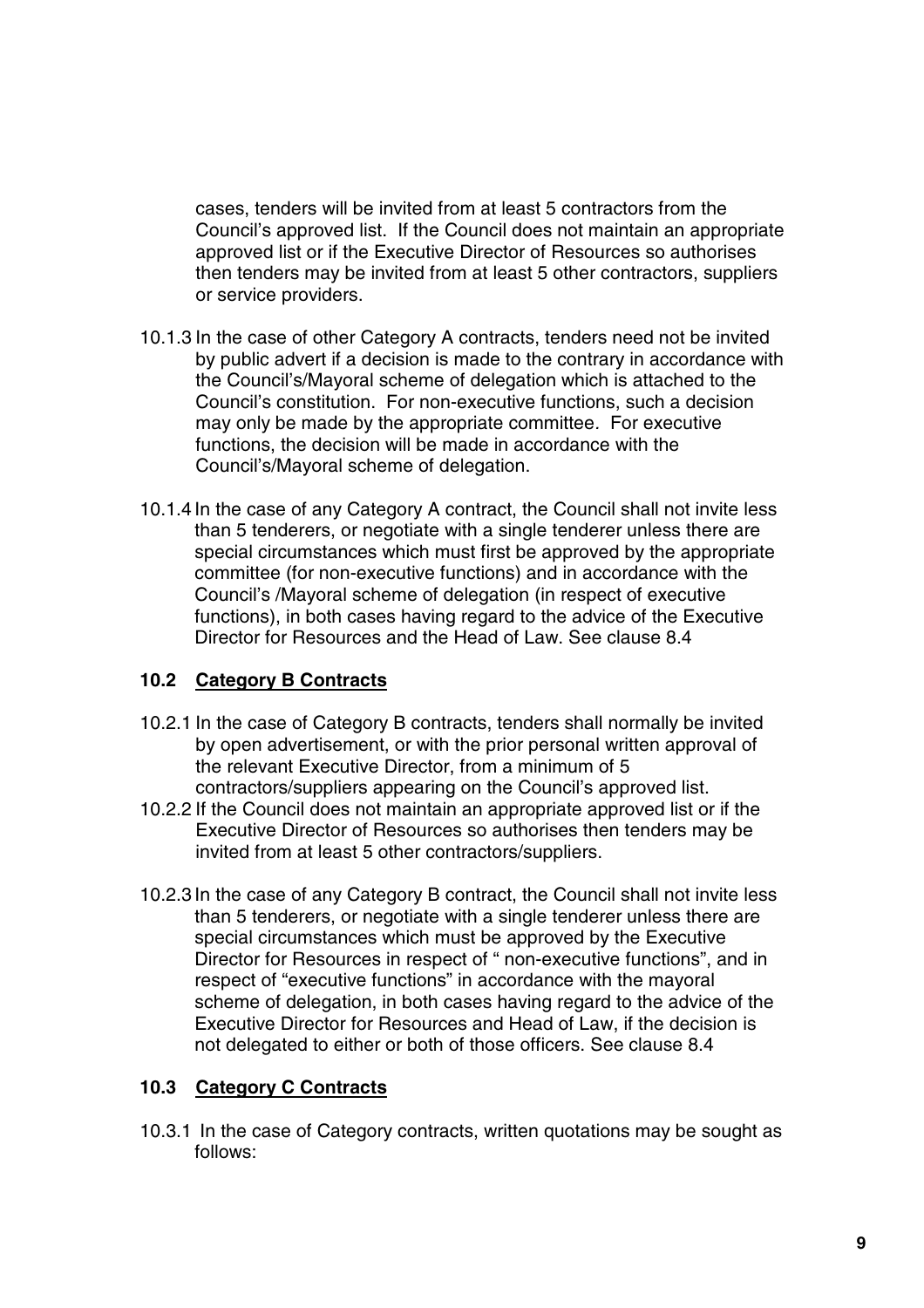cases, tenders will be invited from at least 5 contractors from the Council's approved list. If the Council does not maintain an appropriate approved list or if the Executive Director of Resources so authorises then tenders may be invited from at least 5 other contractors, suppliers or service providers.

- 10.1.3 In the case of other Category A contracts, tenders need not be invited by public advert if a decision is made to the contrary in accordance with the Council's/Mayoral scheme of delegation which is attached to the Council's constitution. For non-executive functions, such a decision may only be made by the appropriate committee. For executive functions, the decision will be made in accordance with the Council's/Mayoral scheme of delegation.
- 10.1.4 In the case of any Category A contract, the Council shall not invite less than 5 tenderers, or negotiate with a single tenderer unless there are special circumstances which must first be approved by the appropriate committee (for non-executive functions) and in accordance with the Council's /Mayoral scheme of delegation (in respect of executive functions), in both cases having regard to the advice of the Executive Director for Resources and the Head of Law. See clause 8.4

#### **10.2 Category B Contracts**

- 10.2.1 In the case of Category B contracts, tenders shall normally be invited by open advertisement, or with the prior personal written approval of the relevant Executive Director, from a minimum of 5 contractors/suppliers appearing on the Council's approved list.
- 10.2.2 If the Council does not maintain an appropriate approved list or if the Executive Director of Resources so authorises then tenders may be invited from at least 5 other contractors/suppliers.
- 10.2.3 In the case of any Category B contract, the Council shall not invite less than 5 tenderers, or negotiate with a single tenderer unless there are special circumstances which must be approved by the Executive Director for Resources in respect of " non-executive functions", and in respect of "executive functions" in accordance with the mayoral scheme of delegation, in both cases having regard to the advice of the Executive Director for Resources and Head of Law, if the decision is not delegated to either or both of those officers. See clause 8.4

#### **10.3 Category C Contracts**

10.3.1 In the case of Category contracts, written quotations may be sought as follows: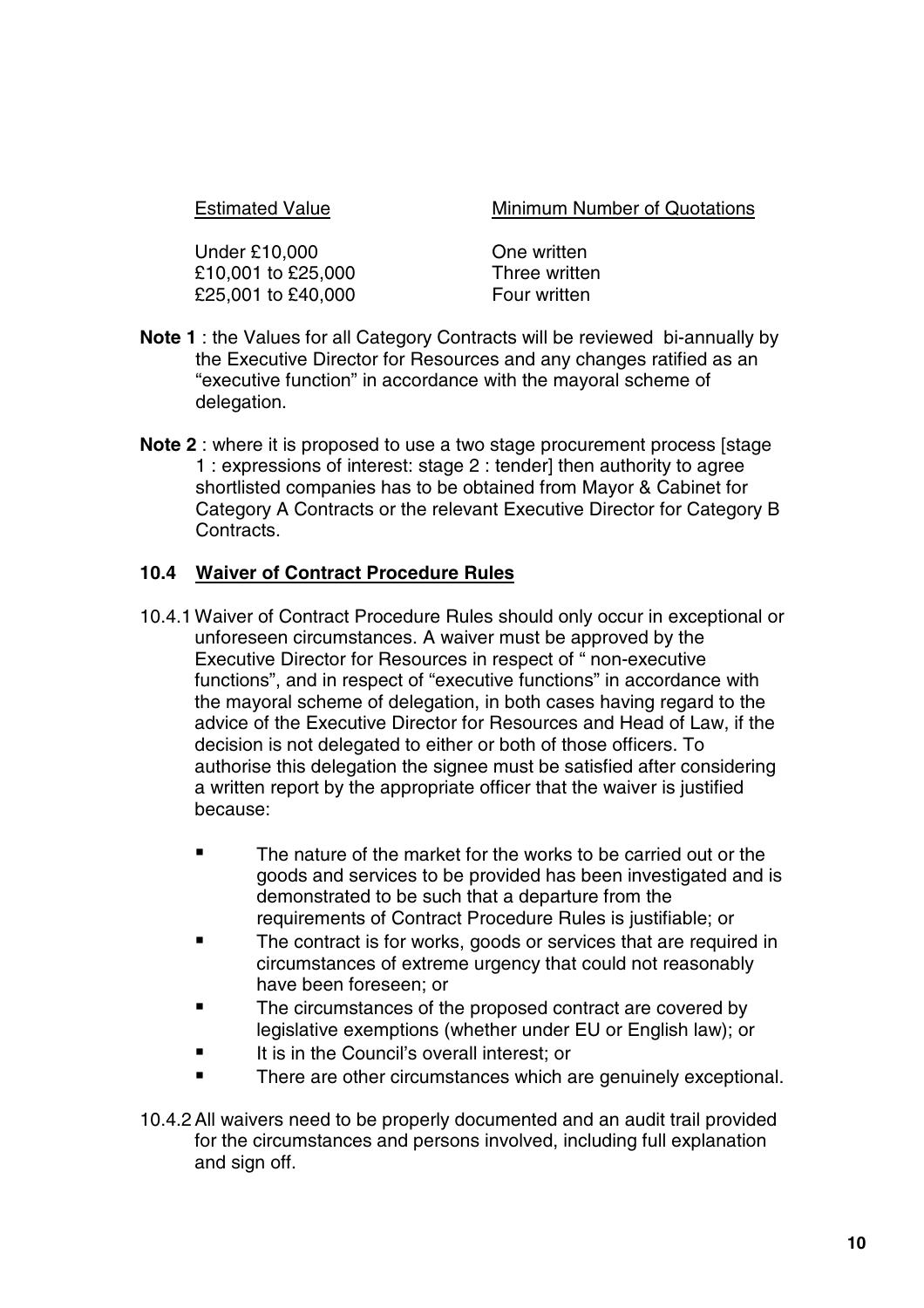Estimated Value Minimum Number of Quotations

Under £10,000 One written £10,001 to £25,000 Three written £25,001 to £40,000 Four written

- **Note 1** : the Values for all Category Contracts will be reviewed bi-annually by the Executive Director for Resources and any changes ratified as an "executive function" in accordance with the mayoral scheme of delegation.
- **Note 2** : where it is proposed to use a two stage procurement process [stage 1 : expressions of interest: stage 2 : tender] then authority to agree shortlisted companies has to be obtained from Mayor & Cabinet for Category A Contracts or the relevant Executive Director for Category B Contracts.

#### **10.4 Waiver of Contract Procedure Rules**

- 10.4.1 Waiver of Contract Procedure Rules should only occur in exceptional or unforeseen circumstances. A waiver must be approved by the Executive Director for Resources in respect of " non-executive functions", and in respect of "executive functions" in accordance with the mayoral scheme of delegation, in both cases having regard to the advice of the Executive Director for Resources and Head of Law, if the decision is not delegated to either or both of those officers. To authorise this delegation the signee must be satisfied after considering a written report by the appropriate officer that the waiver is justified because:
	- **The nature of the market for the works to be carried out or the** goods and services to be provided has been investigated and is demonstrated to be such that a departure from the requirements of Contract Procedure Rules is justifiable; or
	- **The contract is for works, goods or services that are required in** circumstances of extreme urgency that could not reasonably have been foreseen; or
	- The circumstances of the proposed contract are covered by legislative exemptions (whether under EU or English law); or
	- It is in the Council's overall interest; or
	- **There are other circumstances which are genuinely exceptional.**
- 10.4.2All waivers need to be properly documented and an audit trail provided for the circumstances and persons involved, including full explanation and sign off.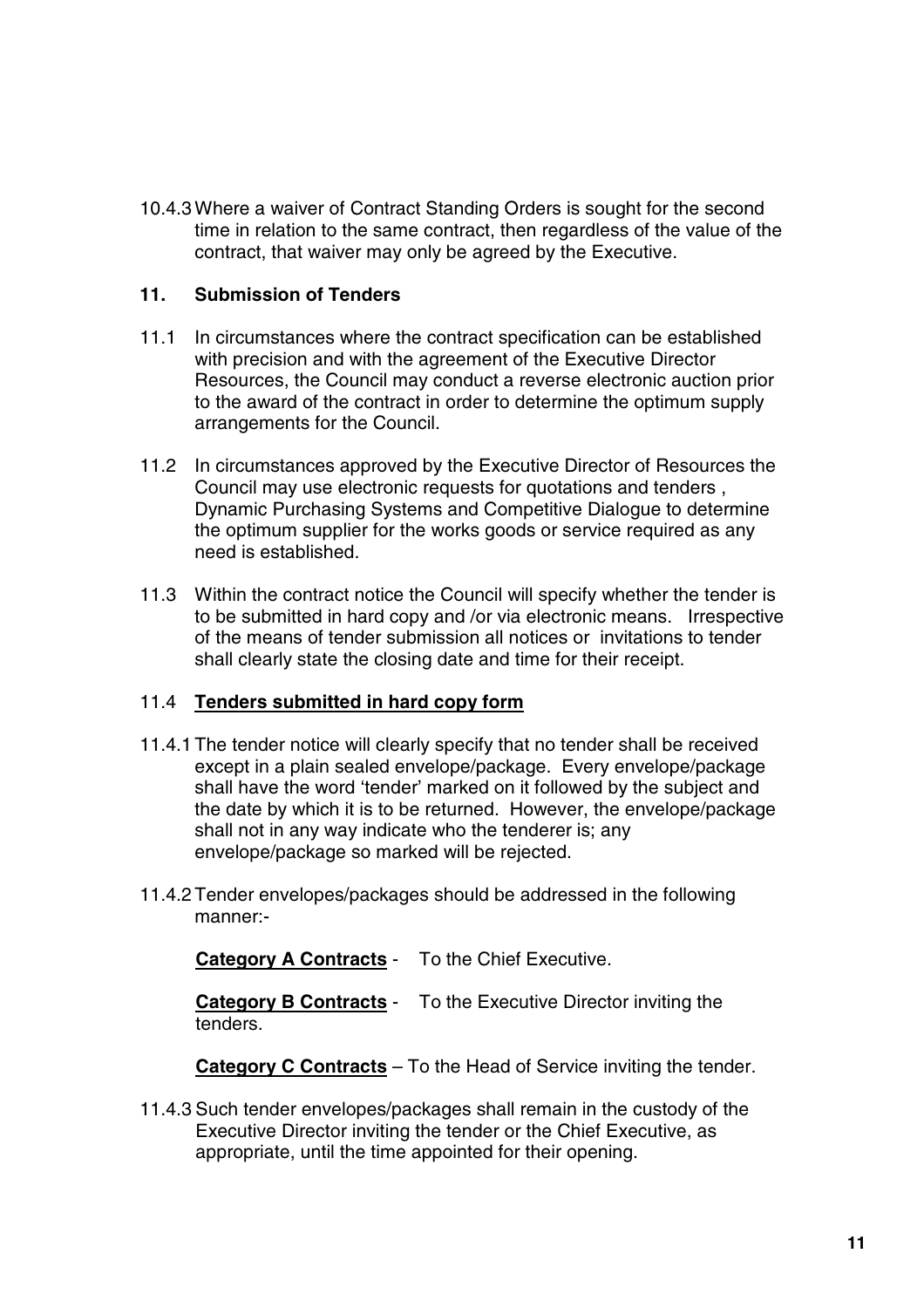10.4.3 Where a waiver of Contract Standing Orders is sought for the second time in relation to the same contract, then regardless of the value of the contract, that waiver may only be agreed by the Executive.

#### **11. Submission of Tenders**

- 11.1 In circumstances where the contract specification can be established with precision and with the agreement of the Executive Director Resources, the Council may conduct a reverse electronic auction prior to the award of the contract in order to determine the optimum supply arrangements for the Council.
- 11.2 In circumstances approved by the Executive Director of Resources the Council may use electronic requests for quotations and tenders , Dynamic Purchasing Systems and Competitive Dialogue to determine the optimum supplier for the works goods or service required as any need is established.
- 11.3 Within the contract notice the Council will specify whether the tender is to be submitted in hard copy and /or via electronic means. Irrespective of the means of tender submission all notices or invitations to tender shall clearly state the closing date and time for their receipt.

#### 11.4 **Tenders submitted in hard copy form**

- 11.4.1 The tender notice will clearly specify that no tender shall be received except in a plain sealed envelope/package. Every envelope/package shall have the word 'tender' marked on it followed by the subject and the date by which it is to be returned. However, the envelope/package shall not in any way indicate who the tenderer is; any envelope/package so marked will be rejected.
- 11.4.2 Tender envelopes/packages should be addressed in the following manner:-

**Category A Contracts** - To the Chief Executive.

**Category B Contracts** - To the Executive Director inviting the tenders.

**Category C Contracts** – To the Head of Service inviting the tender.

11.4.3 Such tender envelopes/packages shall remain in the custody of the Executive Director inviting the tender or the Chief Executive, as appropriate, until the time appointed for their opening.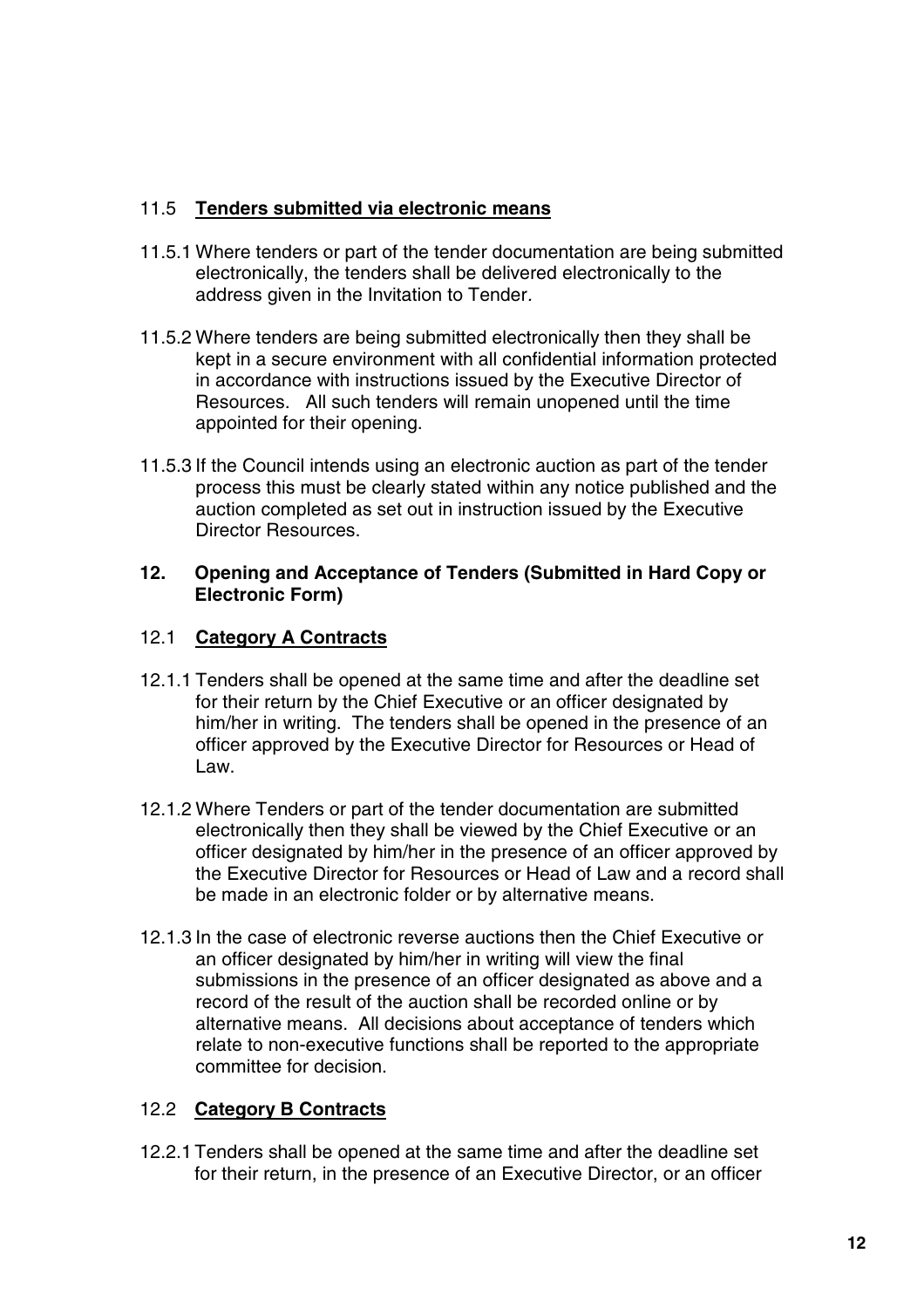#### 11.5 **Tenders submitted via electronic means**

- 11.5.1 Where tenders or part of the tender documentation are being submitted electronically, the tenders shall be delivered electronically to the address given in the Invitation to Tender.
- 11.5.2 Where tenders are being submitted electronically then they shall be kept in a secure environment with all confidential information protected in accordance with instructions issued by the Executive Director of Resources. All such tenders will remain unopened until the time appointed for their opening.
- 11.5.3 If the Council intends using an electronic auction as part of the tender process this must be clearly stated within any notice published and the auction completed as set out in instruction issued by the Executive Director Resources.

#### **12. Opening and Acceptance of Tenders (Submitted in Hard Copy or Electronic Form)**

#### 12.1 **Category A Contracts**

- 12.1.1 Tenders shall be opened at the same time and after the deadline set for their return by the Chief Executive or an officer designated by him/her in writing. The tenders shall be opened in the presence of an officer approved by the Executive Director for Resources or Head of Law.
- 12.1.2 Where Tenders or part of the tender documentation are submitted electronically then they shall be viewed by the Chief Executive or an officer designated by him/her in the presence of an officer approved by the Executive Director for Resources or Head of Law and a record shall be made in an electronic folder or by alternative means.
- 12.1.3 In the case of electronic reverse auctions then the Chief Executive or an officer designated by him/her in writing will view the final submissions in the presence of an officer designated as above and a record of the result of the auction shall be recorded online or by alternative means. All decisions about acceptance of tenders which relate to non-executive functions shall be reported to the appropriate committee for decision.

#### 12.2 **Category B Contracts**

12.2.1 Tenders shall be opened at the same time and after the deadline set for their return, in the presence of an Executive Director, or an officer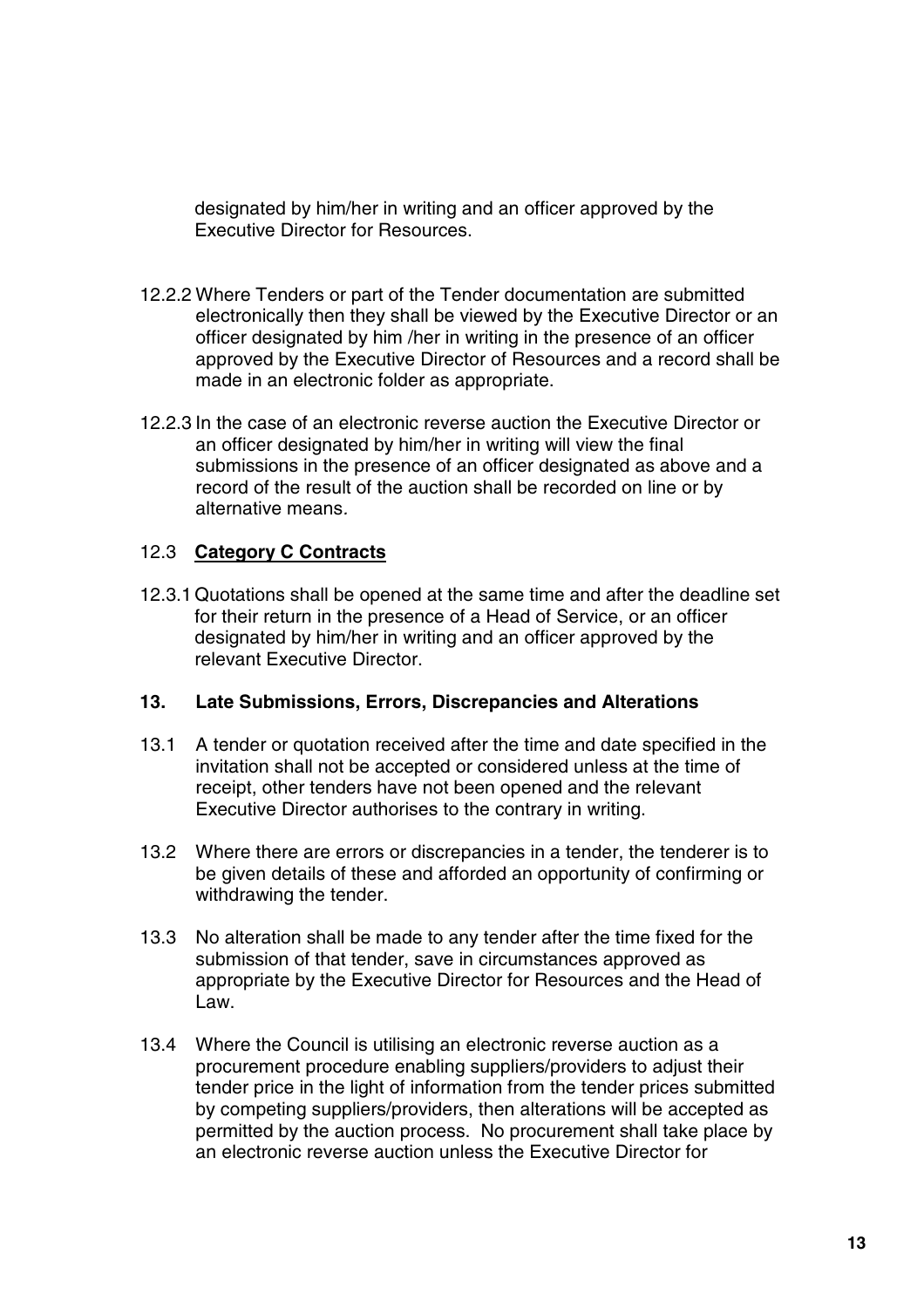designated by him/her in writing and an officer approved by the Executive Director for Resources.

- 12.2.2 Where Tenders or part of the Tender documentation are submitted electronically then they shall be viewed by the Executive Director or an officer designated by him /her in writing in the presence of an officer approved by the Executive Director of Resources and a record shall be made in an electronic folder as appropriate.
- 12.2.3 In the case of an electronic reverse auction the Executive Director or an officer designated by him/her in writing will view the final submissions in the presence of an officer designated as above and a record of the result of the auction shall be recorded on line or by alternative means.

#### 12.3 **Category C Contracts**

12.3.1 Quotations shall be opened at the same time and after the deadline set for their return in the presence of a Head of Service, or an officer designated by him/her in writing and an officer approved by the relevant Executive Director.

#### **13. Late Submissions, Errors, Discrepancies and Alterations**

- 13.1 A tender or quotation received after the time and date specified in the invitation shall not be accepted or considered unless at the time of receipt, other tenders have not been opened and the relevant Executive Director authorises to the contrary in writing.
- 13.2 Where there are errors or discrepancies in a tender, the tenderer is to be given details of these and afforded an opportunity of confirming or withdrawing the tender.
- 13.3 No alteration shall be made to any tender after the time fixed for the submission of that tender, save in circumstances approved as appropriate by the Executive Director for Resources and the Head of Law.
- 13.4 Where the Council is utilising an electronic reverse auction as a procurement procedure enabling suppliers/providers to adjust their tender price in the light of information from the tender prices submitted by competing suppliers/providers, then alterations will be accepted as permitted by the auction process. No procurement shall take place by an electronic reverse auction unless the Executive Director for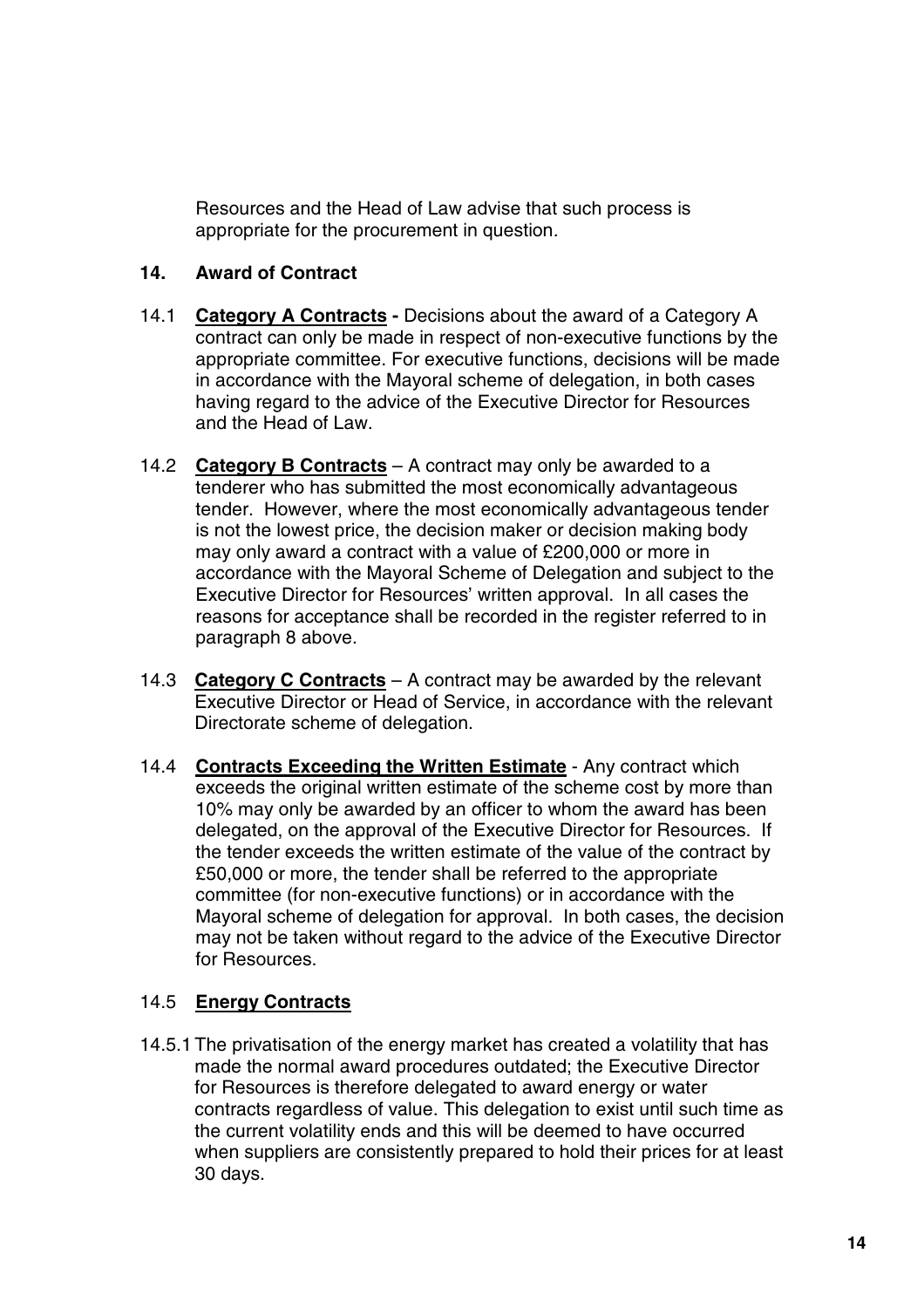Resources and the Head of Law advise that such process is appropriate for the procurement in question.

#### **14. Award of Contract**

- 14.1 **Category A Contracts -** Decisions about the award of a Category A contract can only be made in respect of non-executive functions by the appropriate committee. For executive functions, decisions will be made in accordance with the Mayoral scheme of delegation, in both cases having regard to the advice of the Executive Director for Resources and the Head of Law.
- 14.2 **Category B Contracts** A contract may only be awarded to a tenderer who has submitted the most economically advantageous tender. However, where the most economically advantageous tender is not the lowest price, the decision maker or decision making body may only award a contract with a value of £200,000 or more in accordance with the Mayoral Scheme of Delegation and subject to the Executive Director for Resources' written approval. In all cases the reasons for acceptance shall be recorded in the register referred to in paragraph 8 above.
- 14.3 **Category C Contracts** A contract may be awarded by the relevant Executive Director or Head of Service, in accordance with the relevant Directorate scheme of delegation.
- 14.4 **Contracts Exceeding the Written Estimate** Any contract which exceeds the original written estimate of the scheme cost by more than 10% may only be awarded by an officer to whom the award has been delegated, on the approval of the Executive Director for Resources. If the tender exceeds the written estimate of the value of the contract by £50,000 or more, the tender shall be referred to the appropriate committee (for non-executive functions) or in accordance with the Mayoral scheme of delegation for approval. In both cases, the decision may not be taken without regard to the advice of the Executive Director for Resources.

#### 14.5 **Energy Contracts**

14.5.1 The privatisation of the energy market has created a volatility that has made the normal award procedures outdated; the Executive Director for Resources is therefore delegated to award energy or water contracts regardless of value. This delegation to exist until such time as the current volatility ends and this will be deemed to have occurred when suppliers are consistently prepared to hold their prices for at least 30 days.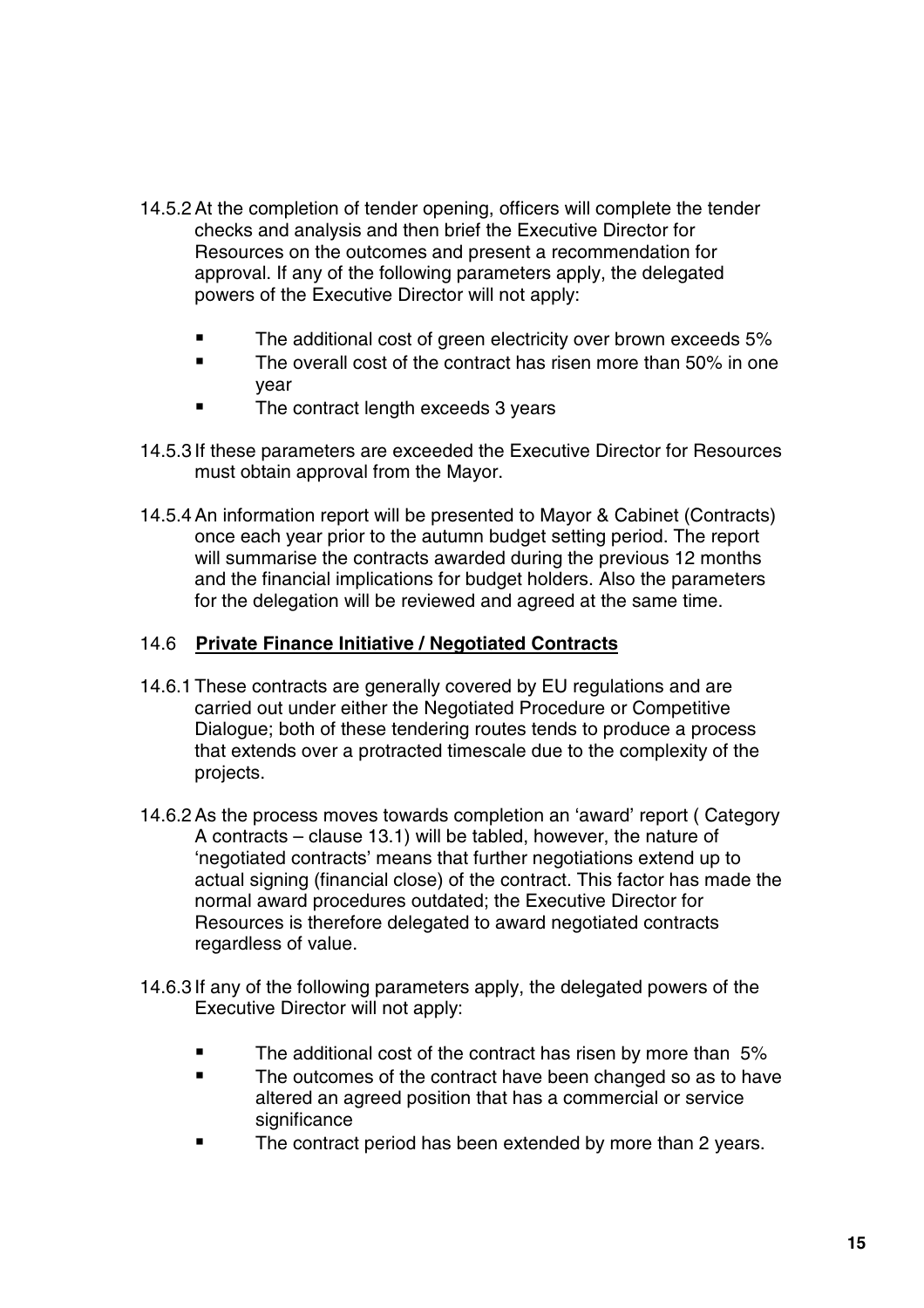- 14.5.2At the completion of tender opening, officers will complete the tender checks and analysis and then brief the Executive Director for Resources on the outcomes and present a recommendation for approval. If any of the following parameters apply, the delegated powers of the Executive Director will not apply:
	- The additional cost of green electricity over brown exceeds 5%
	- **The overall cost of the contract has risen more than 50% in one** year
	- The contract length exceeds 3 years
- 14.5.3 If these parameters are exceeded the Executive Director for Resources must obtain approval from the Mayor.
- 14.5.4An information report will be presented to Mayor & Cabinet (Contracts) once each year prior to the autumn budget setting period. The report will summarise the contracts awarded during the previous 12 months and the financial implications for budget holders. Also the parameters for the delegation will be reviewed and agreed at the same time.

#### 14.6 **Private Finance Initiative / Negotiated Contracts**

- 14.6.1 These contracts are generally covered by EU regulations and are carried out under either the Negotiated Procedure or Competitive Dialogue; both of these tendering routes tends to produce a process that extends over a protracted timescale due to the complexity of the projects.
- 14.6.2As the process moves towards completion an 'award' report ( Category A contracts – clause 13.1) will be tabled, however, the nature of 'negotiated contracts' means that further negotiations extend up to actual signing (financial close) of the contract. This factor has made the normal award procedures outdated; the Executive Director for Resources is therefore delegated to award negotiated contracts regardless of value.
- 14.6.3 If any of the following parameters apply, the delegated powers of the Executive Director will not apply:
	- The additional cost of the contract has risen by more than 5%
	- **The outcomes of the contract have been changed so as to have** altered an agreed position that has a commercial or service significance
	- The contract period has been extended by more than 2 years.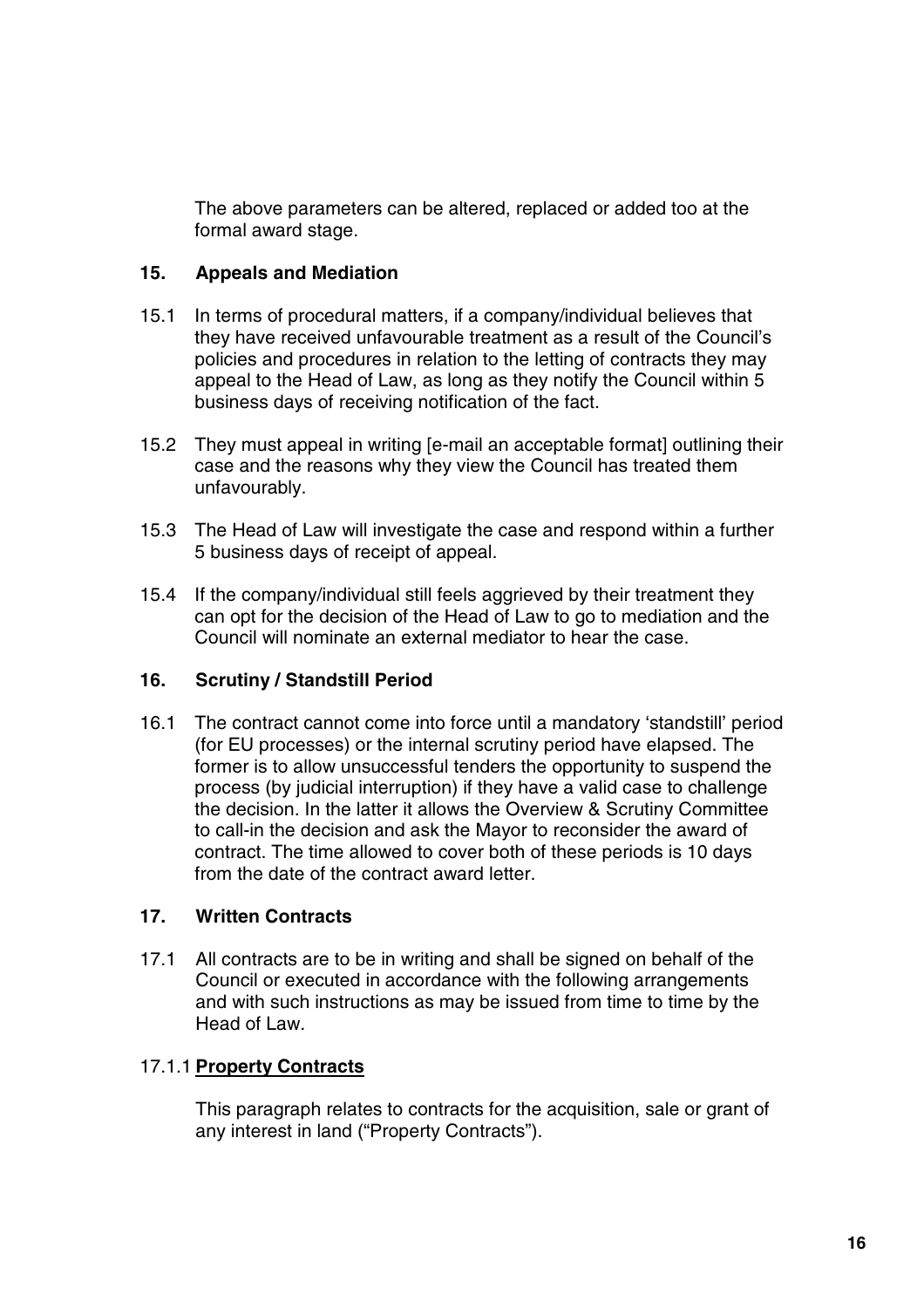The above parameters can be altered, replaced or added too at the formal award stage.

#### **15. Appeals and Mediation**

- 15.1 In terms of procedural matters, if a company/individual believes that they have received unfavourable treatment as a result of the Council's policies and procedures in relation to the letting of contracts they may appeal to the Head of Law, as long as they notify the Council within 5 business days of receiving notification of the fact.
- 15.2 They must appeal in writing [e-mail an acceptable format] outlining their case and the reasons why they view the Council has treated them unfavourably.
- 15.3 The Head of Law will investigate the case and respond within a further 5 business days of receipt of appeal.
- 15.4 If the company/individual still feels aggrieved by their treatment they can opt for the decision of the Head of Law to go to mediation and the Council will nominate an external mediator to hear the case.

#### **16. Scrutiny / Standstill Period**

16.1 The contract cannot come into force until a mandatory 'standstill' period (for EU processes) or the internal scrutiny period have elapsed. The former is to allow unsuccessful tenders the opportunity to suspend the process (by judicial interruption) if they have a valid case to challenge the decision. In the latter it allows the Overview & Scrutiny Committee to call-in the decision and ask the Mayor to reconsider the award of contract. The time allowed to cover both of these periods is 10 days from the date of the contract award letter.

#### **17. Written Contracts**

17.1 All contracts are to be in writing and shall be signed on behalf of the Council or executed in accordance with the following arrangements and with such instructions as may be issued from time to time by the Head of Law.

#### 17.1.1 **Property Contracts**

This paragraph relates to contracts for the acquisition, sale or grant of any interest in land ("Property Contracts").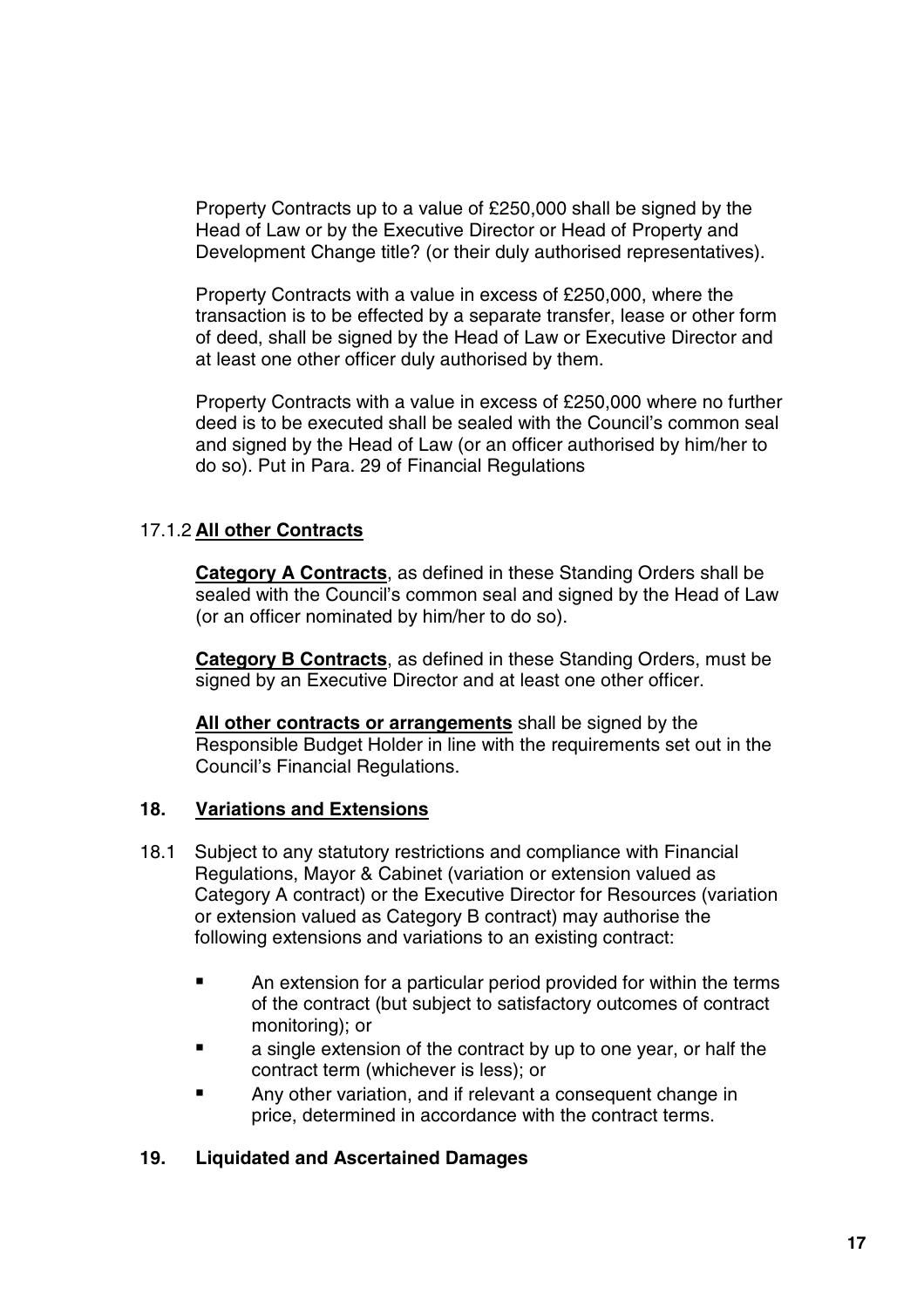Property Contracts up to a value of £250,000 shall be signed by the Head of Law or by the Executive Director or Head of Property and Development Change title? (or their duly authorised representatives).

Property Contracts with a value in excess of £250,000, where the transaction is to be effected by a separate transfer, lease or other form of deed, shall be signed by the Head of Law or Executive Director and at least one other officer duly authorised by them.

Property Contracts with a value in excess of £250,000 where no further deed is to be executed shall be sealed with the Council's common seal and signed by the Head of Law (or an officer authorised by him/her to do so). Put in Para. 29 of Financial Regulations

#### 17.1.2 **All other Contracts**

**Category A Contracts**, as defined in these Standing Orders shall be sealed with the Council's common seal and signed by the Head of Law (or an officer nominated by him/her to do so).

**Category B Contracts**, as defined in these Standing Orders, must be signed by an Executive Director and at least one other officer.

**All other contracts or arrangements** shall be signed by the Responsible Budget Holder in line with the requirements set out in the Council's Financial Regulations.

#### **18. Variations and Extensions**

- 18.1 Subject to any statutory restrictions and compliance with Financial Regulations, Mayor & Cabinet (variation or extension valued as Category A contract) or the Executive Director for Resources (variation or extension valued as Category B contract) may authorise the following extensions and variations to an existing contract:
	- **EXTEND An extension for a particular period provided for within the terms** of the contract (but subject to satisfactory outcomes of contract monitoring); or
	- **E** a single extension of the contract by up to one year, or half the contract term (whichever is less); or
	- Any other variation, and if relevant a consequent change in price, determined in accordance with the contract terms.

#### **19. Liquidated and Ascertained Damages**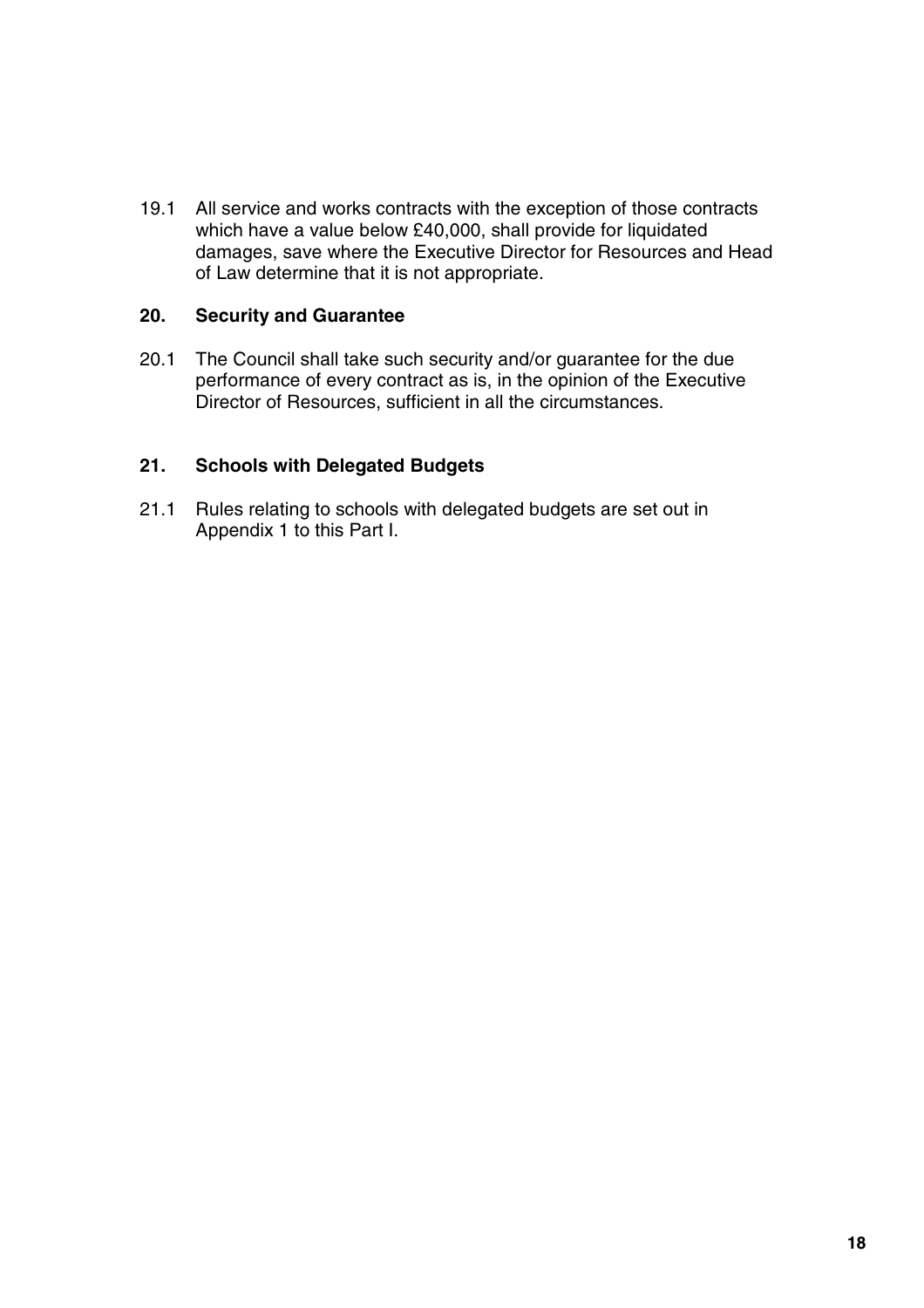19.1 All service and works contracts with the exception of those contracts which have a value below £40,000, shall provide for liquidated damages, save where the Executive Director for Resources and Head of Law determine that it is not appropriate.

#### **20. Security and Guarantee**

20.1 The Council shall take such security and/or guarantee for the due performance of every contract as is, in the opinion of the Executive Director of Resources, sufficient in all the circumstances.

#### **21. Schools with Delegated Budgets**

21.1 Rules relating to schools with delegated budgets are set out in Appendix 1 to this Part I.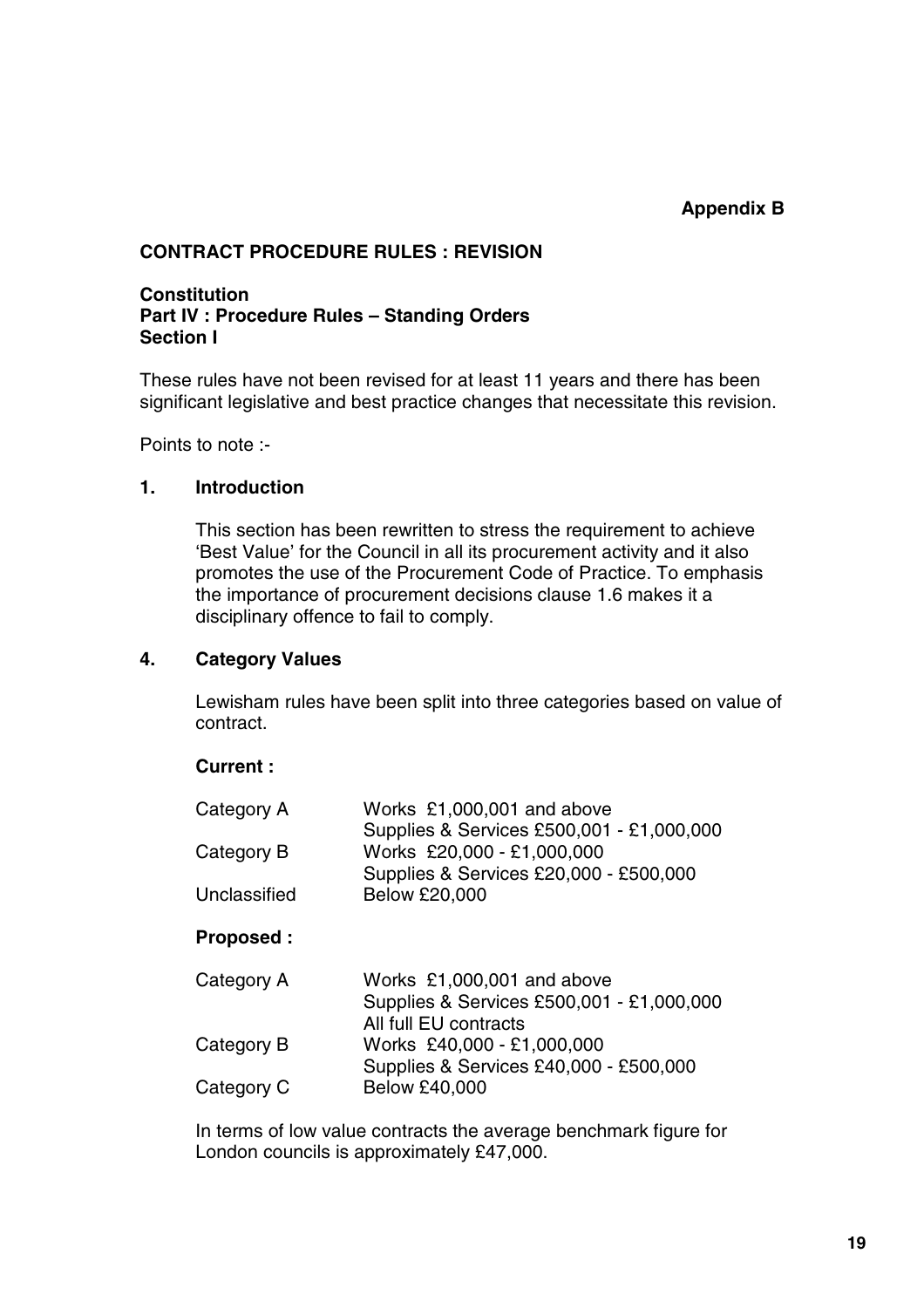#### **CONTRACT PROCEDURE RULES : REVISION**

#### **Constitution Part IV : Procedure Rules – Standing Orders Section I**

These rules have not been revised for at least 11 years and there has been significant legislative and best practice changes that necessitate this revision.

Points to note :-

#### **1. Introduction**

This section has been rewritten to stress the requirement to achieve 'Best Value' for the Council in all its procurement activity and it also promotes the use of the Procurement Code of Practice. To emphasis the importance of procurement decisions clause 1.6 makes it a disciplinary offence to fail to comply.

#### **4. Category Values**

Lewisham rules have been split into three categories based on value of contract.

#### **Current :**

| Category A       | Works £1,000,001 and above<br>Supplies & Services £500,001 - £1,000,000                          |
|------------------|--------------------------------------------------------------------------------------------------|
| Category B       | Works £20,000 - £1,000,000<br>Supplies & Services £20,000 - £500,000                             |
| Unclassified     | <b>Below £20,000</b>                                                                             |
| <b>Proposed:</b> |                                                                                                  |
| Category A       | Works £1,000,001 and above<br>Supplies & Services £500,001 - £1,000,000<br>All full EU contracts |
| Category B       | Works £40,000 - £1,000,000<br>Supplies & Services £40,000 - £500,000                             |
| Category C       | <b>Below £40,000</b>                                                                             |

In terms of low value contracts the average benchmark figure for London councils is approximately £47,000.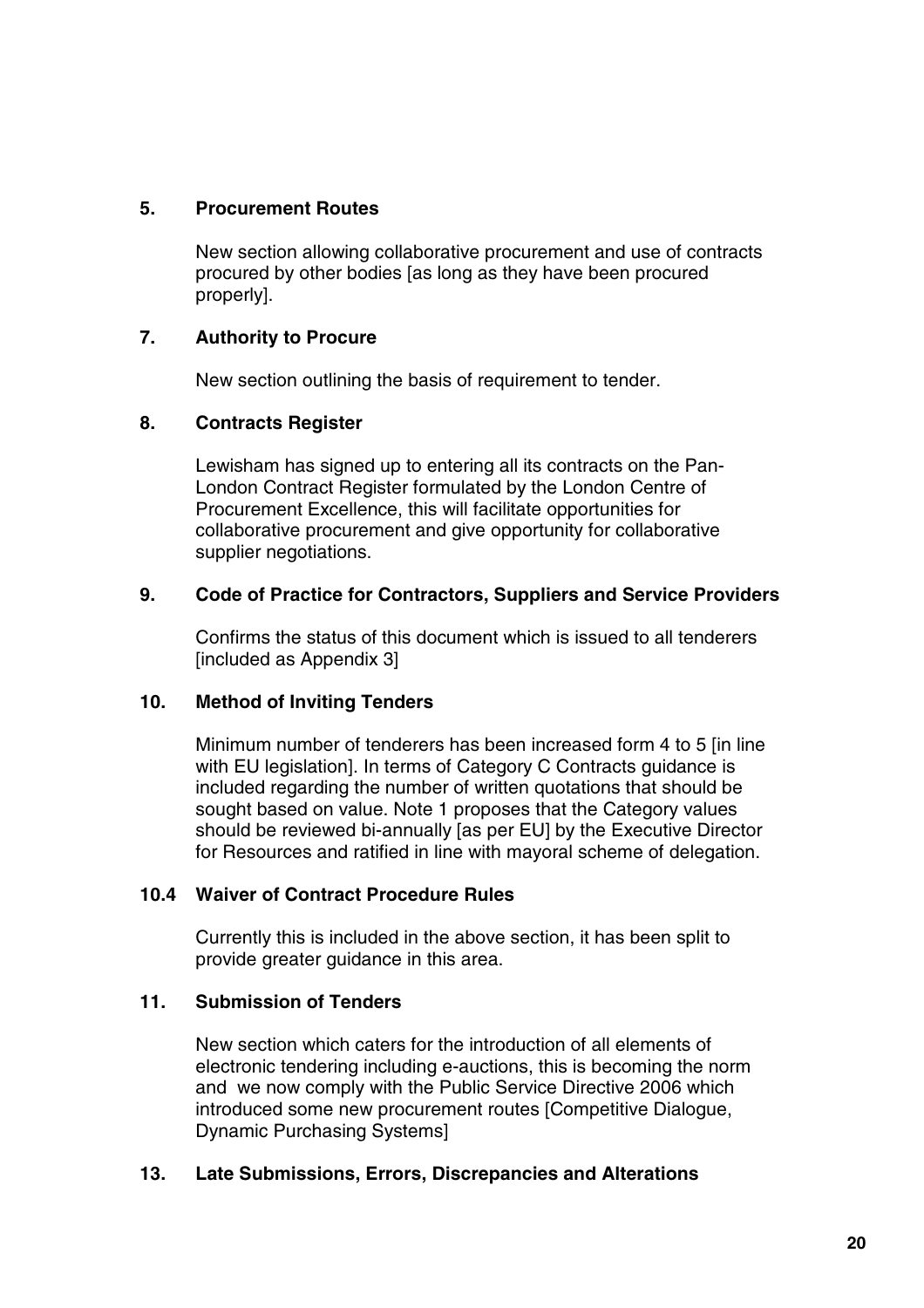#### **5. Procurement Routes**

New section allowing collaborative procurement and use of contracts procured by other bodies [as long as they have been procured properly].

#### **7. Authority to Procure**

New section outlining the basis of requirement to tender.

#### **8. Contracts Register**

Lewisham has signed up to entering all its contracts on the Pan-London Contract Register formulated by the London Centre of Procurement Excellence, this will facilitate opportunities for collaborative procurement and give opportunity for collaborative supplier negotiations.

#### **9. Code of Practice for Contractors, Suppliers and Service Providers**

Confirms the status of this document which is issued to all tenderers [included as Appendix 3]

#### **10. Method of Inviting Tenders**

Minimum number of tenderers has been increased form 4 to 5 [in line with EU legislation]. In terms of Category C Contracts guidance is included regarding the number of written quotations that should be sought based on value. Note 1 proposes that the Category values should be reviewed bi-annually [as per EU] by the Executive Director for Resources and ratified in line with mayoral scheme of delegation.

#### **10.4 Waiver of Contract Procedure Rules**

Currently this is included in the above section, it has been split to provide greater guidance in this area.

#### **11. Submission of Tenders**

New section which caters for the introduction of all elements of electronic tendering including e-auctions, this is becoming the norm and we now comply with the Public Service Directive 2006 which introduced some new procurement routes [Competitive Dialogue, Dynamic Purchasing Systems]

#### **13. Late Submissions, Errors, Discrepancies and Alterations**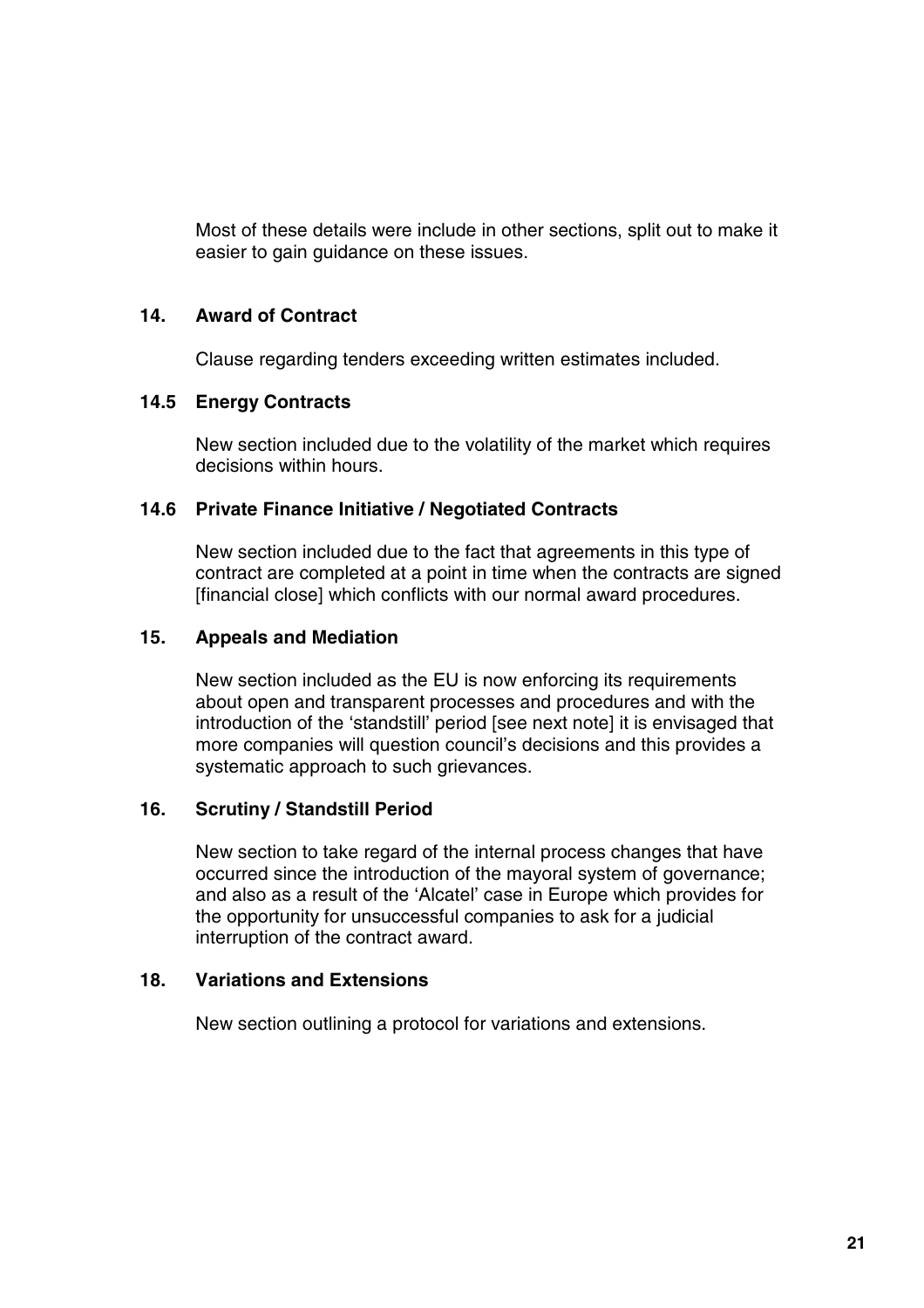Most of these details were include in other sections, split out to make it easier to gain guidance on these issues.

#### **14. Award of Contract**

Clause regarding tenders exceeding written estimates included.

#### **14.5 Energy Contracts**

New section included due to the volatility of the market which requires decisions within hours.

#### **14.6 Private Finance Initiative / Negotiated Contracts**

New section included due to the fact that agreements in this type of contract are completed at a point in time when the contracts are signed [financial close] which conflicts with our normal award procedures.

#### **15. Appeals and Mediation**

New section included as the EU is now enforcing its requirements about open and transparent processes and procedures and with the introduction of the 'standstill' period [see next note] it is envisaged that more companies will question council's decisions and this provides a systematic approach to such grievances.

#### **16. Scrutiny / Standstill Period**

New section to take regard of the internal process changes that have occurred since the introduction of the mayoral system of governance; and also as a result of the 'Alcatel' case in Europe which provides for the opportunity for unsuccessful companies to ask for a judicial interruption of the contract award.

#### **18. Variations and Extensions**

New section outlining a protocol for variations and extensions.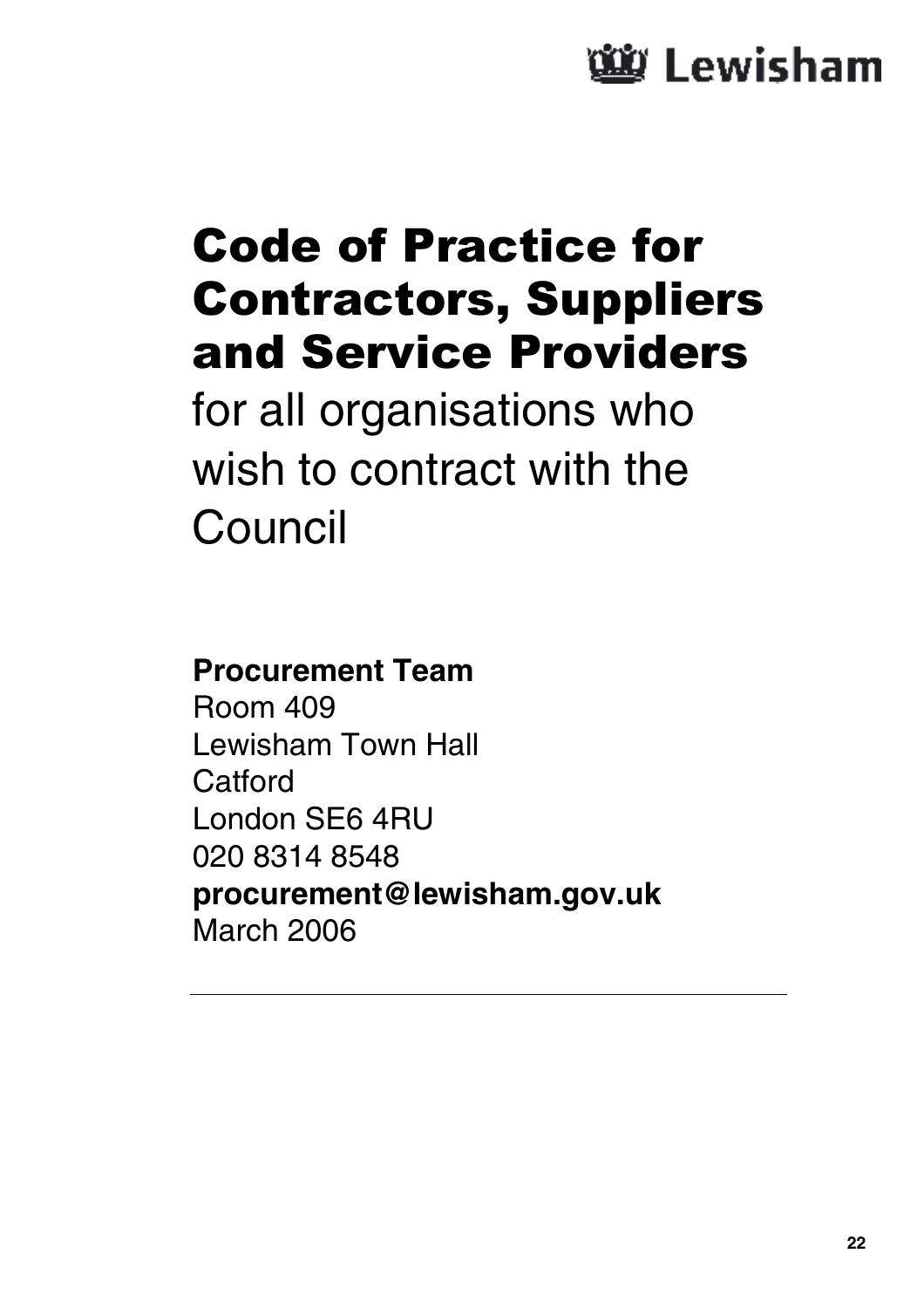# <u>ัพ้</u>ย Lewisham

# Code of Practice for Contractors, Suppliers and Service Providers

for all organisations who wish to contract with the Council

### **Procurement Team**

Room 409 Lewisham Town Hall **Catford** London SE6 4RU 020 8314 8548 **procurement@lewisham.gov.uk** March 2006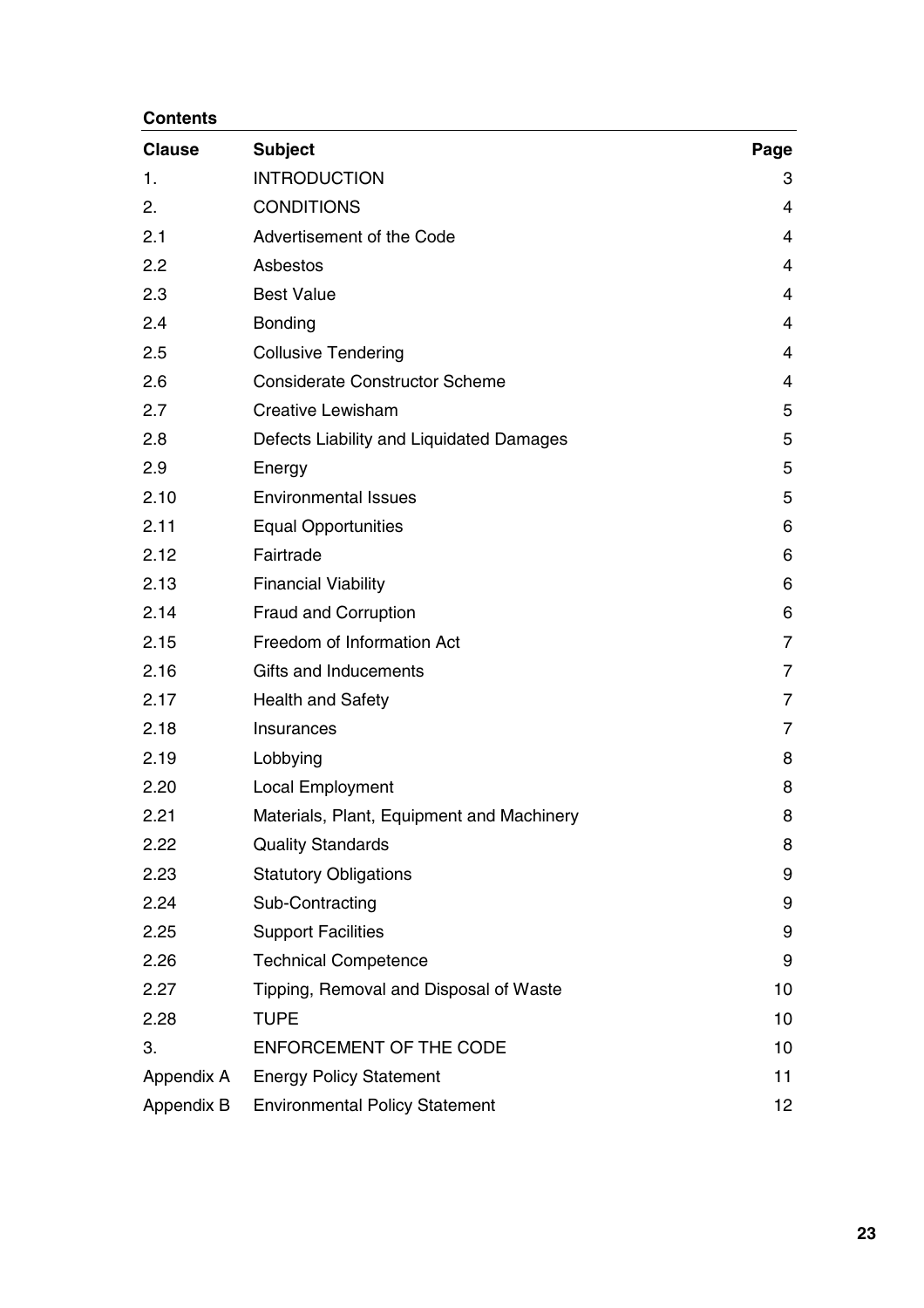#### **Contents**

| <b>Clause</b> | <b>Subject</b>                            | Page            |
|---------------|-------------------------------------------|-----------------|
| 1.            | <b>INTRODUCTION</b>                       | 3               |
| 2.            | <b>CONDITIONS</b>                         | 4               |
| 2.1           | Advertisement of the Code                 | 4               |
| 2.2           | Asbestos                                  | 4               |
| 2.3           | <b>Best Value</b>                         | 4               |
| 2.4           | <b>Bonding</b>                            | 4               |
| 2.5           | <b>Collusive Tendering</b>                | 4               |
| 2.6           | <b>Considerate Constructor Scheme</b>     | 4               |
| 2.7           | <b>Creative Lewisham</b>                  | 5               |
| 2.8           | Defects Liability and Liquidated Damages  | 5               |
| 2.9           | Energy                                    | 5               |
| 2.10          | <b>Environmental Issues</b>               | 5               |
| 2.11          | <b>Equal Opportunities</b>                | 6               |
| 2.12          | Fairtrade                                 | 6               |
| 2.13          | <b>Financial Viability</b>                | 6               |
| 2.14          | <b>Fraud and Corruption</b>               | 6               |
| 2.15          | Freedom of Information Act                | 7               |
| 2.16          | Gifts and Inducements                     | 7               |
| 2.17          | <b>Health and Safety</b>                  | 7               |
| 2.18          | Insurances                                | 7               |
| 2.19          | Lobbying                                  | 8               |
| 2.20          | Local Employment                          | 8               |
| 2.21          | Materials, Plant, Equipment and Machinery | 8               |
| 2.22          | <b>Quality Standards</b>                  | 8               |
| 2.23          | <b>Statutory Obligations</b>              | 9               |
| 2.24          | Sub-Contracting                           | 9               |
| 2.25          | <b>Support Facilities</b>                 | 9               |
| 2.26          | <b>Technical Competence</b>               | 9               |
| 2.27          | Tipping, Removal and Disposal of Waste    | 10              |
| 2.28          | <b>TUPE</b>                               | 10              |
| 3.            | ENFORCEMENT OF THE CODE                   | 10              |
| Appendix A    | <b>Energy Policy Statement</b>            | 11              |
| Appendix B    | <b>Environmental Policy Statement</b>     | 12 <sub>2</sub> |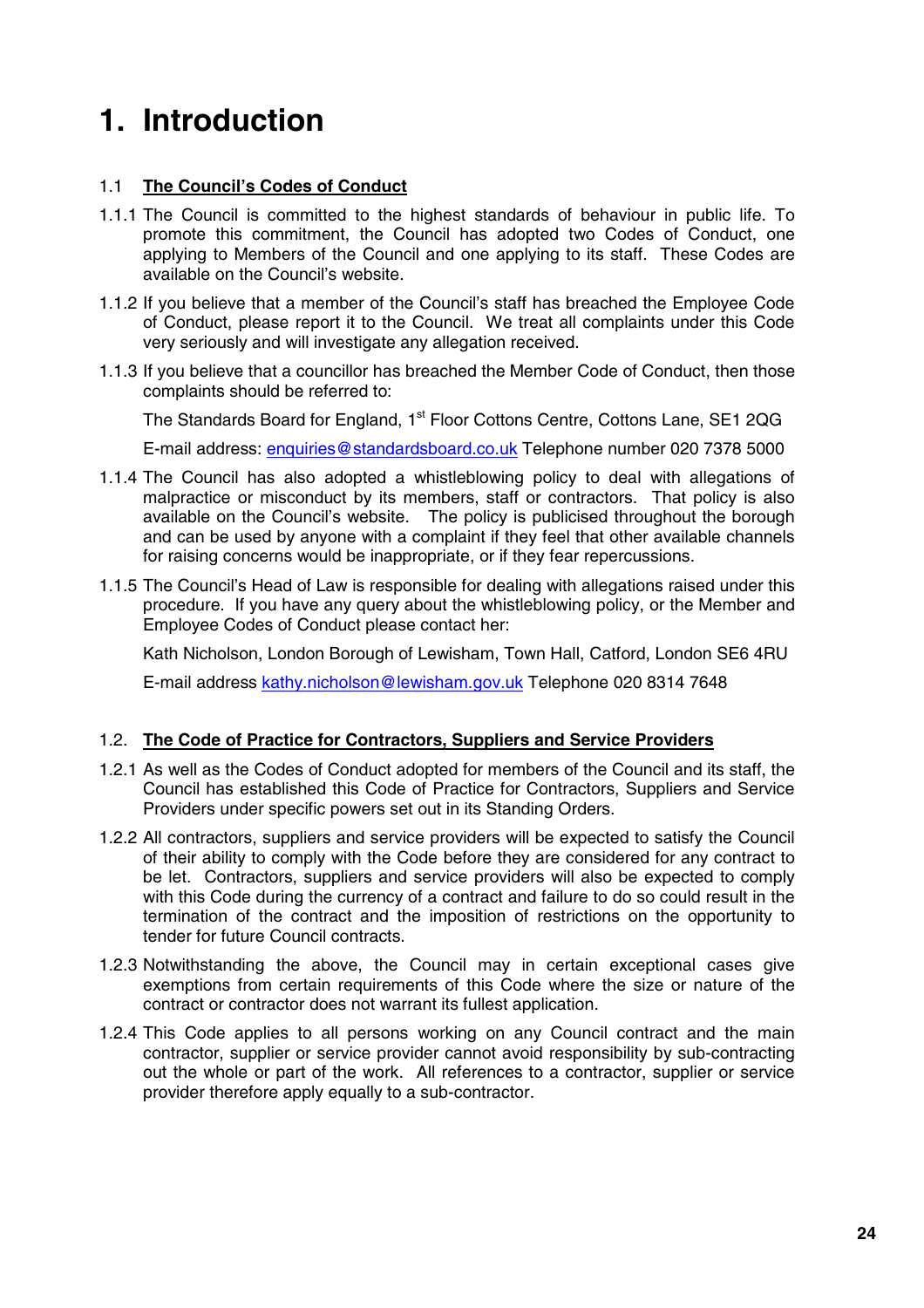## **1. Introduction**

#### 1.1 **The Council's Codes of Conduct**

- 1.1.1 The Council is committed to the highest standards of behaviour in public life. To promote this commitment, the Council has adopted two Codes of Conduct, one applying to Members of the Council and one applying to its staff. These Codes are available on the Council's website.
- 1.1.2 If you believe that a member of the Council's staff has breached the Employee Code of Conduct, please report it to the Council. We treat all complaints under this Code very seriously and will investigate any allegation received.
- 1.1.3 If you believe that a councillor has breached the Member Code of Conduct, then those complaints should be referred to:

The Standards Board for England, 1<sup>st</sup> Floor Cottons Centre, Cottons Lane, SE1 2QG

E-mail address: enquiries@standardsboard.co.uk Telephone number 020 7378 5000

- 1.1.4 The Council has also adopted a whistleblowing policy to deal with allegations of malpractice or misconduct by its members, staff or contractors. That policy is also available on the Council's website. The policy is publicised throughout the borough and can be used by anyone with a complaint if they feel that other available channels for raising concerns would be inappropriate, or if they fear repercussions.
- 1.1.5 The Council's Head of Law is responsible for dealing with allegations raised under this procedure. If you have any query about the whistleblowing policy, or the Member and Employee Codes of Conduct please contact her:

Kath Nicholson, London Borough of Lewisham, Town Hall, Catford, London SE6 4RU

E-mail address kathy.nicholson@lewisham.gov.uk Telephone 020 8314 7648

#### 1.2. **The Code of Practice for Contractors, Suppliers and Service Providers**

- 1.2.1 As well as the Codes of Conduct adopted for members of the Council and its staff, the Council has established this Code of Practice for Contractors, Suppliers and Service Providers under specific powers set out in its Standing Orders.
- 1.2.2 All contractors, suppliers and service providers will be expected to satisfy the Council of their ability to comply with the Code before they are considered for any contract to be let. Contractors, suppliers and service providers will also be expected to comply with this Code during the currency of a contract and failure to do so could result in the termination of the contract and the imposition of restrictions on the opportunity to tender for future Council contracts.
- 1.2.3 Notwithstanding the above, the Council may in certain exceptional cases give exemptions from certain requirements of this Code where the size or nature of the contract or contractor does not warrant its fullest application.
- 1.2.4 This Code applies to all persons working on any Council contract and the main contractor, supplier or service provider cannot avoid responsibility by sub-contracting out the whole or part of the work. All references to a contractor, supplier or service provider therefore apply equally to a sub-contractor.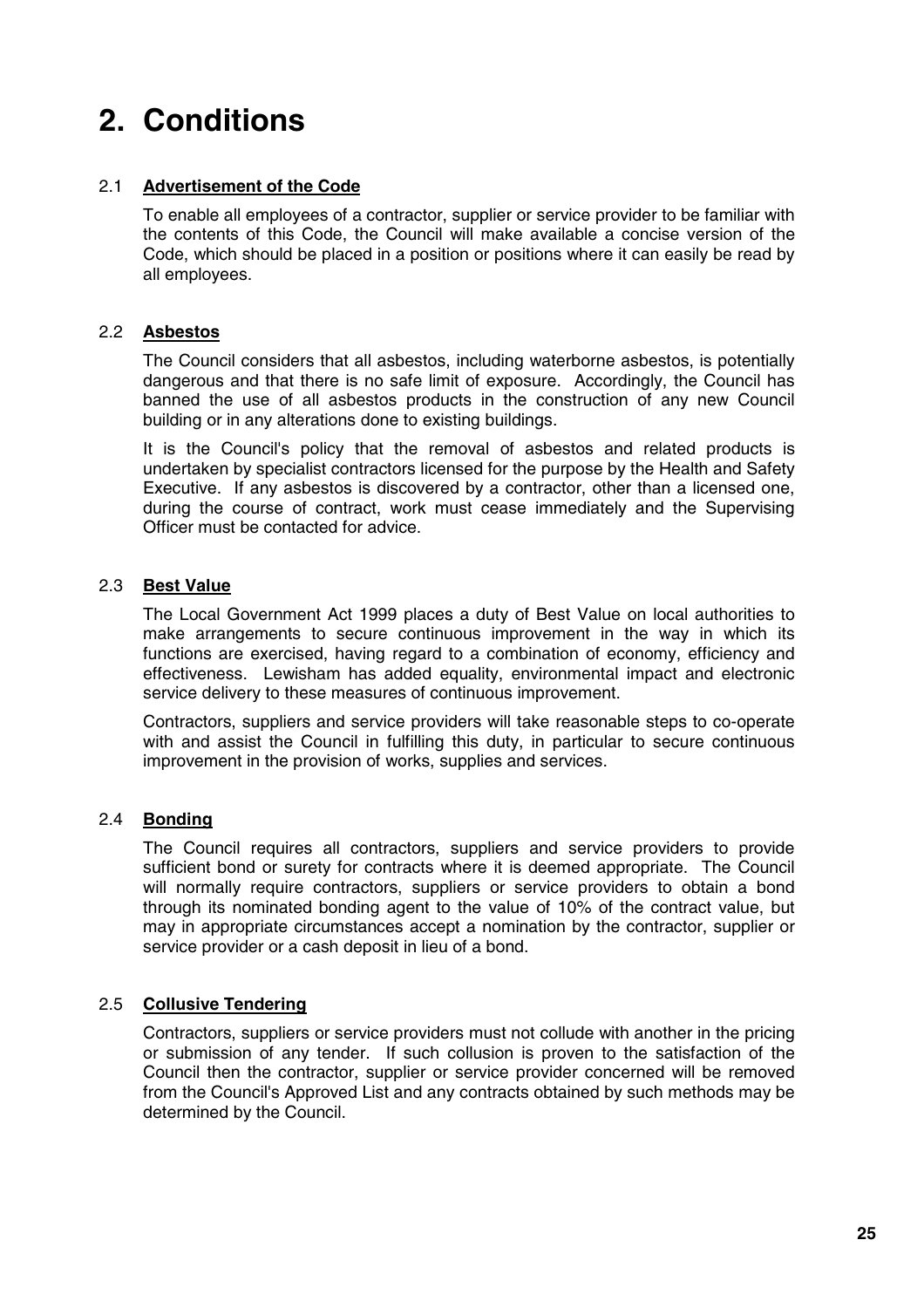## **2. Conditions**

#### 2.1 **Advertisement of the Code**

To enable all employees of a contractor, supplier or service provider to be familiar with the contents of this Code, the Council will make available a concise version of the Code, which should be placed in a position or positions where it can easily be read by all employees.

#### 2.2 **Asbestos**

The Council considers that all asbestos, including waterborne asbestos, is potentially dangerous and that there is no safe limit of exposure. Accordingly, the Council has banned the use of all asbestos products in the construction of any new Council building or in any alterations done to existing buildings.

It is the Council's policy that the removal of asbestos and related products is undertaken by specialist contractors licensed for the purpose by the Health and Safety Executive. If any asbestos is discovered by a contractor, other than a licensed one, during the course of contract, work must cease immediately and the Supervising Officer must be contacted for advice.

#### 2.3 **Best Value**

The Local Government Act 1999 places a duty of Best Value on local authorities to make arrangements to secure continuous improvement in the way in which its functions are exercised, having regard to a combination of economy, efficiency and effectiveness. Lewisham has added equality, environmental impact and electronic service delivery to these measures of continuous improvement.

Contractors, suppliers and service providers will take reasonable steps to co-operate with and assist the Council in fulfilling this duty, in particular to secure continuous improvement in the provision of works, supplies and services.

#### 2.4 **Bonding**

The Council requires all contractors, suppliers and service providers to provide sufficient bond or surety for contracts where it is deemed appropriate. The Council will normally require contractors, suppliers or service providers to obtain a bond through its nominated bonding agent to the value of 10% of the contract value, but may in appropriate circumstances accept a nomination by the contractor, supplier or service provider or a cash deposit in lieu of a bond.

#### 2.5 **Collusive Tendering**

Contractors, suppliers or service providers must not collude with another in the pricing or submission of any tender. If such collusion is proven to the satisfaction of the Council then the contractor, supplier or service provider concerned will be removed from the Council's Approved List and any contracts obtained by such methods may be determined by the Council.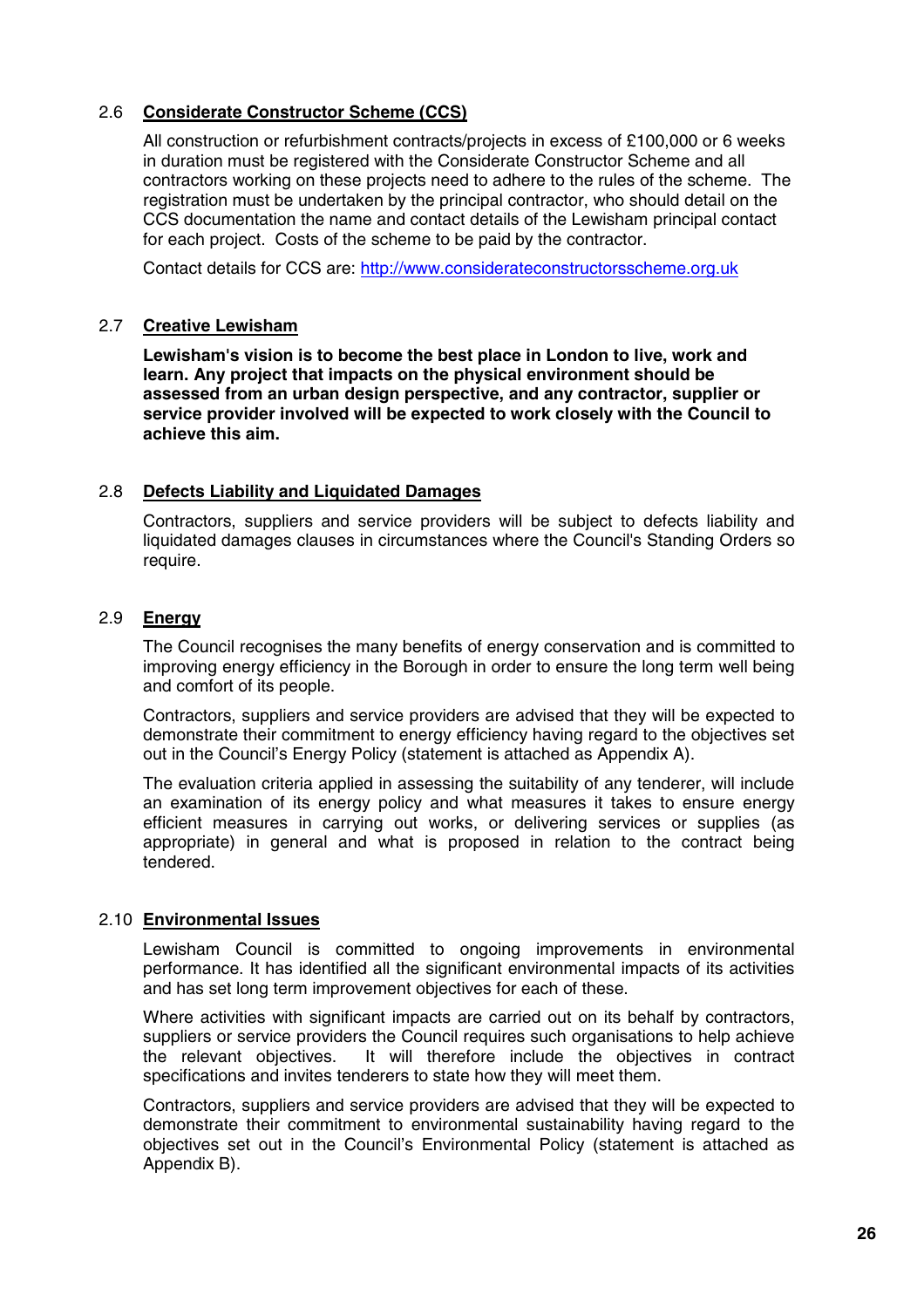#### 2.6 **Considerate Constructor Scheme (CCS)**

All construction or refurbishment contracts/projects in excess of £100,000 or 6 weeks in duration must be registered with the Considerate Constructor Scheme and all contractors working on these projects need to adhere to the rules of the scheme. The registration must be undertaken by the principal contractor, who should detail on the CCS documentation the name and contact details of the Lewisham principal contact for each project. Costs of the scheme to be paid by the contractor.

Contact details for CCS are: http://www.considerateconstructorsscheme.org.uk

#### 2.7 **Creative Lewisham**

**Lewisham's vision is to become the best place in London to live, work and learn. Any project that impacts on the physical environment should be assessed from an urban design perspective, and any contractor, supplier or service provider involved will be expected to work closely with the Council to achieve this aim.**

#### 2.8 **Defects Liability and Liquidated Damages**

Contractors, suppliers and service providers will be subject to defects liability and liquidated damages clauses in circumstances where the Council's Standing Orders so require.

#### 2.9 **Energy**

The Council recognises the many benefits of energy conservation and is committed to improving energy efficiency in the Borough in order to ensure the long term well being and comfort of its people.

Contractors, suppliers and service providers are advised that they will be expected to demonstrate their commitment to energy efficiency having regard to the objectives set out in the Council's Energy Policy (statement is attached as Appendix A).

The evaluation criteria applied in assessing the suitability of any tenderer, will include an examination of its energy policy and what measures it takes to ensure energy efficient measures in carrying out works, or delivering services or supplies (as appropriate) in general and what is proposed in relation to the contract being tendered.

#### 2.10 **Environmental Issues**

Lewisham Council is committed to ongoing improvements in environmental performance. It has identified all the significant environmental impacts of its activities and has set long term improvement objectives for each of these.

Where activities with significant impacts are carried out on its behalf by contractors, suppliers or service providers the Council requires such organisations to help achieve the relevant objectives. It will therefore include the objectives in contract specifications and invites tenderers to state how they will meet them.

Contractors, suppliers and service providers are advised that they will be expected to demonstrate their commitment to environmental sustainability having regard to the objectives set out in the Council's Environmental Policy (statement is attached as Appendix B).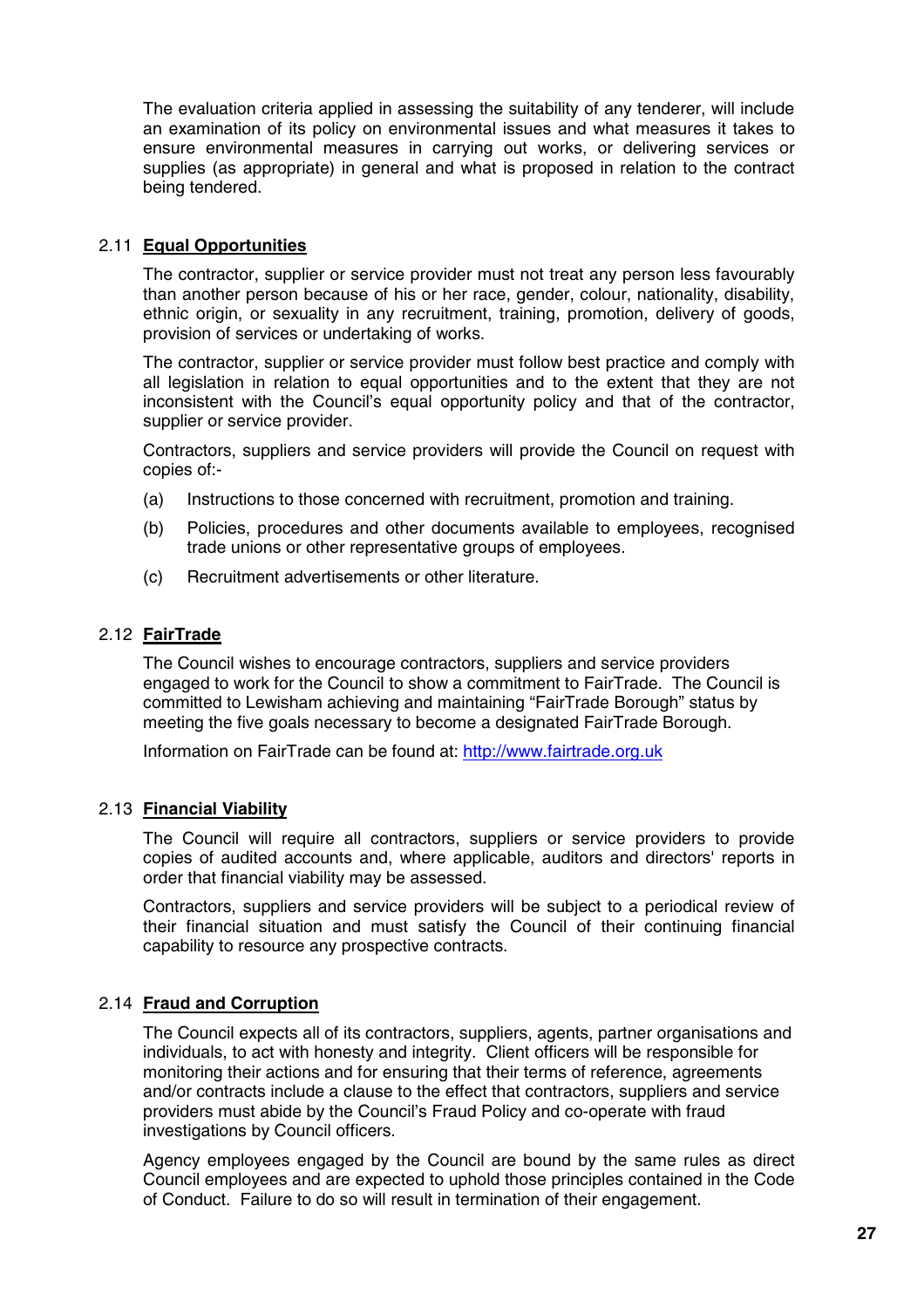The evaluation criteria applied in assessing the suitability of any tenderer, will include an examination of its policy on environmental issues and what measures it takes to ensure environmental measures in carrying out works, or delivering services or supplies (as appropriate) in general and what is proposed in relation to the contract being tendered.

#### 2.11 **Equal Opportunities**

The contractor, supplier or service provider must not treat any person less favourably than another person because of his or her race, gender, colour, nationality, disability, ethnic origin, or sexuality in any recruitment, training, promotion, delivery of goods, provision of services or undertaking of works.

The contractor, supplier or service provider must follow best practice and comply with all legislation in relation to equal opportunities and to the extent that they are not inconsistent with the Council's equal opportunity policy and that of the contractor, supplier or service provider.

Contractors, suppliers and service providers will provide the Council on request with copies of:-

- (a) Instructions to those concerned with recruitment, promotion and training.
- (b) Policies, procedures and other documents available to employees, recognised trade unions or other representative groups of employees.
- (c) Recruitment advertisements or other literature.

#### 2.12 **FairTrade**

The Council wishes to encourage contractors, suppliers and service providers engaged to work for the Council to show a commitment to FairTrade. The Council is committed to Lewisham achieving and maintaining "FairTrade Borough" status by meeting the five goals necessary to become a designated FairTrade Borough.

Information on FairTrade can be found at: http://www.fairtrade.org.uk

#### 2.13 **Financial Viability**

The Council will require all contractors, suppliers or service providers to provide copies of audited accounts and, where applicable, auditors and directors' reports in order that financial viability may be assessed.

Contractors, suppliers and service providers will be subject to a periodical review of their financial situation and must satisfy the Council of their continuing financial capability to resource any prospective contracts.

#### 2.14 **Fraud and Corruption**

The Council expects all of its contractors, suppliers, agents, partner organisations and individuals, to act with honesty and integrity. Client officers will be responsible for monitoring their actions and for ensuring that their terms of reference, agreements and/or contracts include a clause to the effect that contractors, suppliers and service providers must abide by the Council's Fraud Policy and co-operate with fraud investigations by Council officers.

Agency employees engaged by the Council are bound by the same rules as direct Council employees and are expected to uphold those principles contained in the Code of Conduct. Failure to do so will result in termination of their engagement.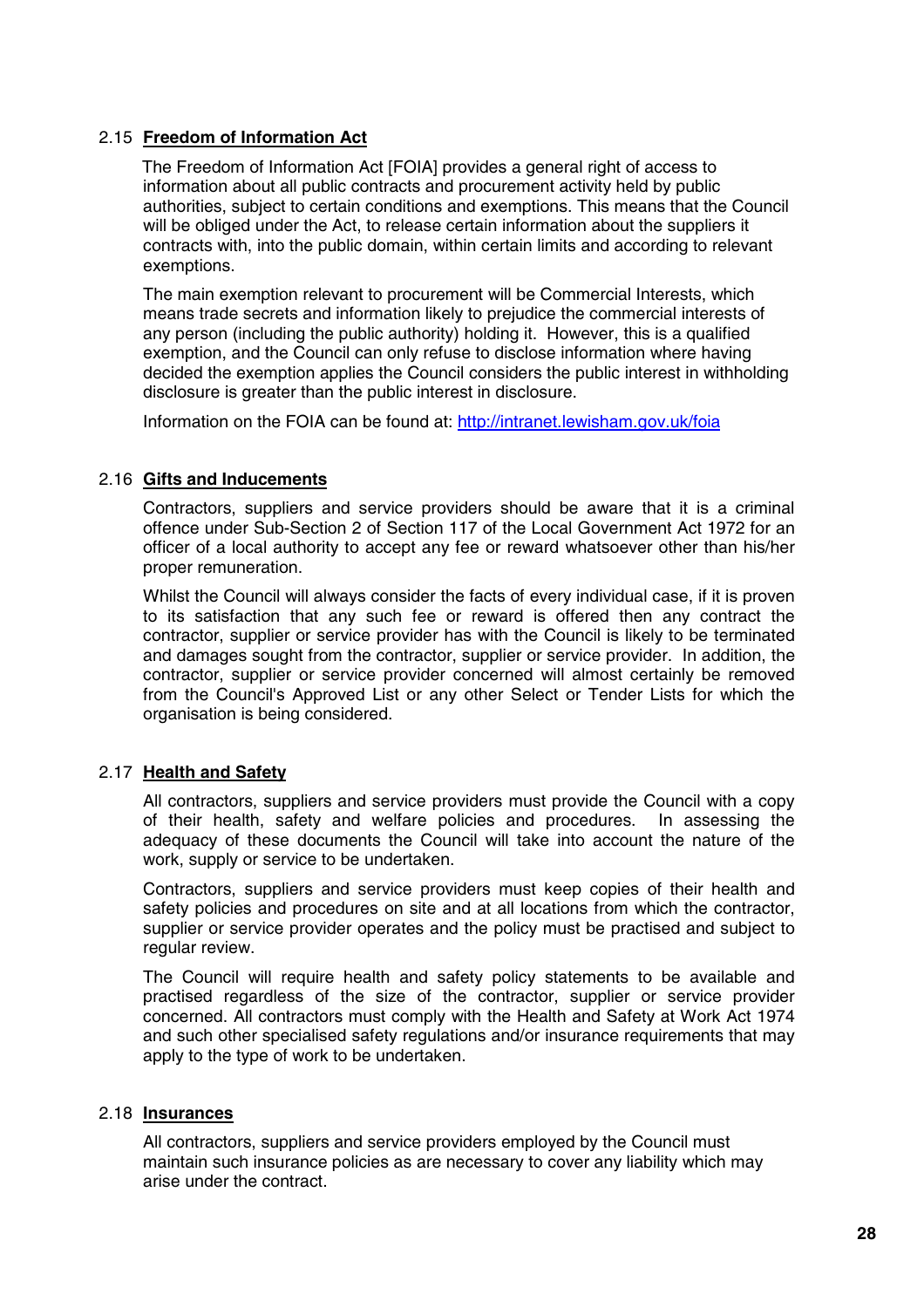#### 2.15 **Freedom of Information Act**

The Freedom of Information Act [FOIA] provides a general right of access to information about all public contracts and procurement activity held by public authorities, subject to certain conditions and exemptions. This means that the Council will be obliged under the Act, to release certain information about the suppliers it contracts with, into the public domain, within certain limits and according to relevant exemptions.

The main exemption relevant to procurement will be Commercial Interests, which means trade secrets and information likely to prejudice the commercial interests of any person (including the public authority) holding it. However, this is a qualified exemption, and the Council can only refuse to disclose information where having decided the exemption applies the Council considers the public interest in withholding disclosure is greater than the public interest in disclosure.

Information on the FOIA can be found at: http://intranet.lewisham.gov.uk/foia

#### 2.16 **Gifts and Inducements**

Contractors, suppliers and service providers should be aware that it is a criminal offence under Sub-Section 2 of Section 117 of the Local Government Act 1972 for an officer of a local authority to accept any fee or reward whatsoever other than his/her proper remuneration.

Whilst the Council will always consider the facts of every individual case, if it is proven to its satisfaction that any such fee or reward is offered then any contract the contractor, supplier or service provider has with the Council is likely to be terminated and damages sought from the contractor, supplier or service provider. In addition, the contractor, supplier or service provider concerned will almost certainly be removed from the Council's Approved List or any other Select or Tender Lists for which the organisation is being considered.

#### 2.17 **Health and Safety**

All contractors, suppliers and service providers must provide the Council with a copy of their health, safety and welfare policies and procedures. In assessing the adequacy of these documents the Council will take into account the nature of the work, supply or service to be undertaken.

Contractors, suppliers and service providers must keep copies of their health and safety policies and procedures on site and at all locations from which the contractor, supplier or service provider operates and the policy must be practised and subject to regular review.

The Council will require health and safety policy statements to be available and practised regardless of the size of the contractor, supplier or service provider concerned. All contractors must comply with the Health and Safety at Work Act 1974 and such other specialised safety regulations and/or insurance requirements that may apply to the type of work to be undertaken.

#### 2.18 **Insurances**

All contractors, suppliers and service providers employed by the Council must maintain such insurance policies as are necessary to cover any liability which may arise under the contract.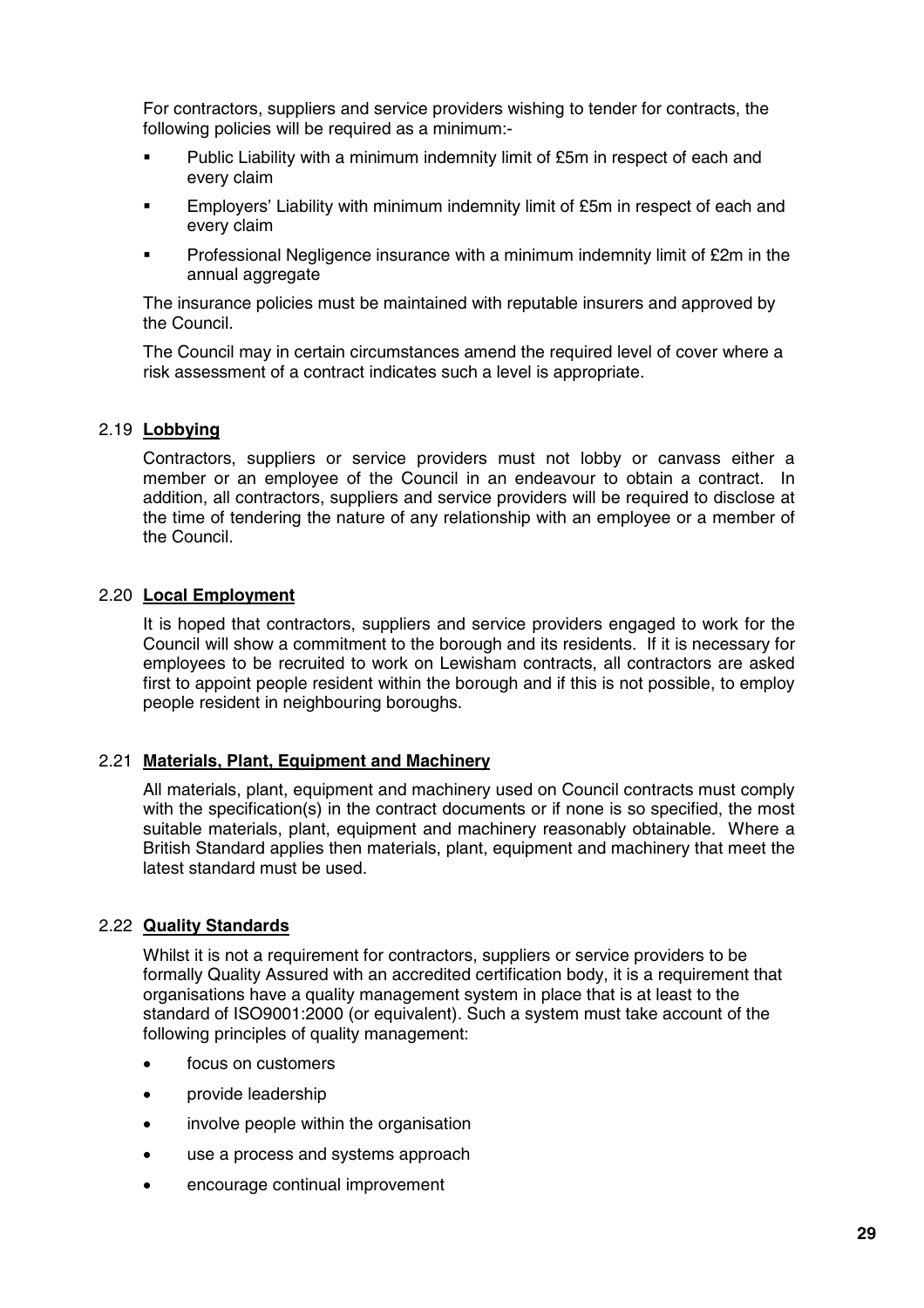For contractors, suppliers and service providers wishing to tender for contracts, the following policies will be required as a minimum:-

- Public Liability with a minimum indemnity limit of £5m in respect of each and every claim
- Employers' Liability with minimum indemnity limit of £5m in respect of each and every claim
- Professional Negligence insurance with a minimum indemnity limit of £2m in the annual aggregate

The insurance policies must be maintained with reputable insurers and approved by the Council.

The Council may in certain circumstances amend the required level of cover where a risk assessment of a contract indicates such a level is appropriate.

#### 2.19 **Lobbying**

Contractors, suppliers or service providers must not lobby or canvass either a member or an employee of the Council in an endeavour to obtain a contract. In addition, all contractors, suppliers and service providers will be required to disclose at the time of tendering the nature of any relationship with an employee or a member of the Council.

#### 2.20 **Local Employment**

It is hoped that contractors, suppliers and service providers engaged to work for the Council will show a commitment to the borough and its residents. If it is necessary for employees to be recruited to work on Lewisham contracts, all contractors are asked first to appoint people resident within the borough and if this is not possible, to employ people resident in neighbouring boroughs.

#### 2.21 **Materials, Plant, Equipment and Machinery**

All materials, plant, equipment and machinery used on Council contracts must comply with the specification(s) in the contract documents or if none is so specified, the most suitable materials, plant, equipment and machinery reasonably obtainable. Where a British Standard applies then materials, plant, equipment and machinery that meet the latest standard must be used.

#### 2.22 **Quality Standards**

Whilst it is not a requirement for contractors, suppliers or service providers to be formally Quality Assured with an accredited certification body, it is a requirement that organisations have a quality management system in place that is at least to the standard of ISO9001:2000 (or equivalent). Such a system must take account of the following principles of quality management:

- focus on customers
- provide leadership
- involve people within the organisation
- use a process and systems approach
- encourage continual improvement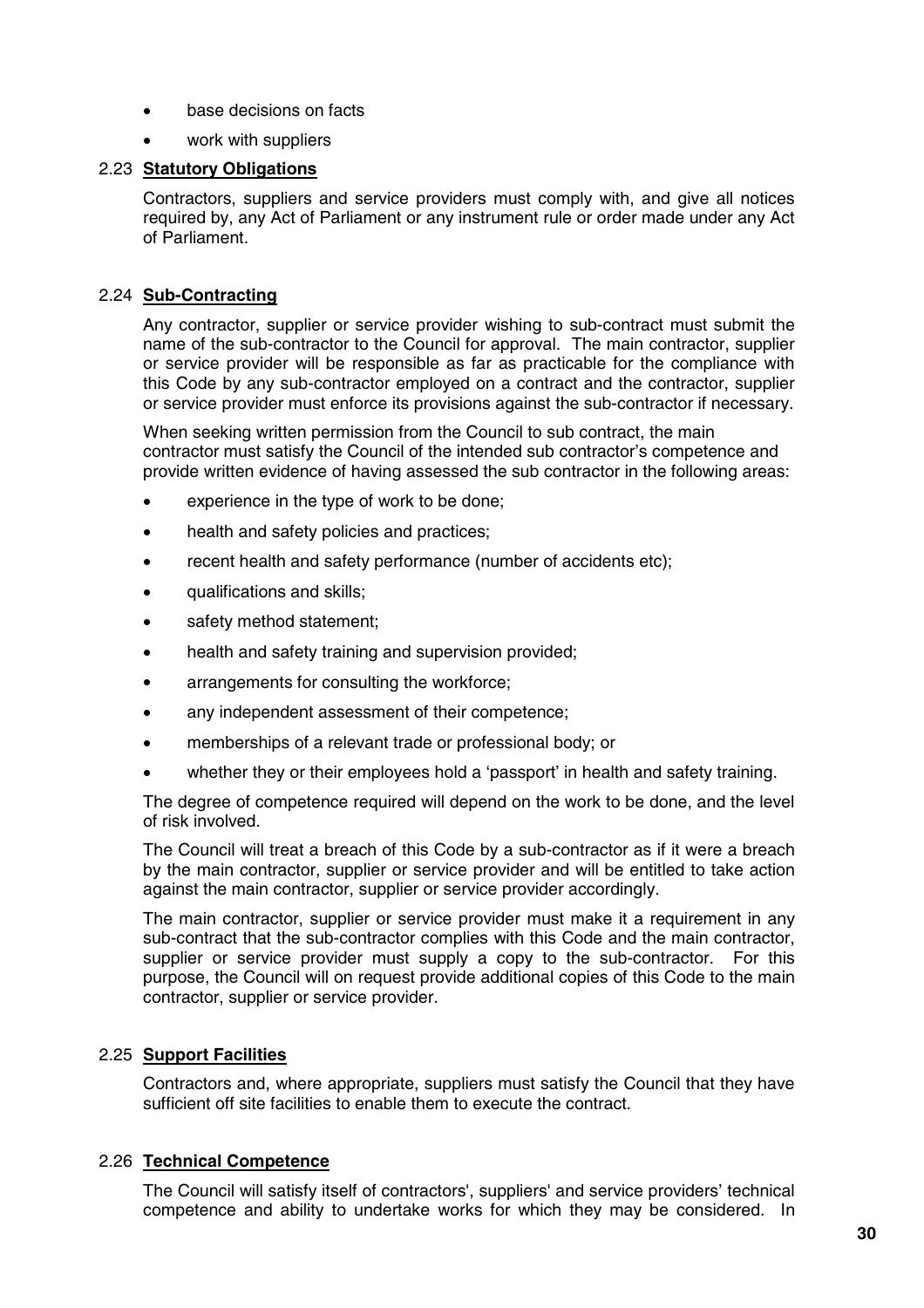- base decisions on facts
- work with suppliers

#### 2.23 **Statutory Obligations**

Contractors, suppliers and service providers must comply with, and give all notices required by, any Act of Parliament or any instrument rule or order made under any Act of Parliament.

#### 2.24 **Sub-Contracting**

Any contractor, supplier or service provider wishing to sub-contract must submit the name of the sub-contractor to the Council for approval. The main contractor, supplier or service provider will be responsible as far as practicable for the compliance with this Code by any sub-contractor employed on a contract and the contractor, supplier or service provider must enforce its provisions against the sub-contractor if necessary.

When seeking written permission from the Council to sub contract, the main contractor must satisfy the Council of the intended sub contractor's competence and provide written evidence of having assessed the sub contractor in the following areas:

- experience in the type of work to be done;
- health and safety policies and practices:
- recent health and safety performance (number of accidents etc);
- qualifications and skills;
- safety method statement;
- health and safety training and supervision provided;
- arrangements for consulting the workforce;
- any independent assessment of their competence;
- memberships of a relevant trade or professional body; or
- whether they or their employees hold a 'passport' in health and safety training.

The degree of competence required will depend on the work to be done, and the level of risk involved.

The Council will treat a breach of this Code by a sub-contractor as if it were a breach by the main contractor, supplier or service provider and will be entitled to take action against the main contractor, supplier or service provider accordingly.

The main contractor, supplier or service provider must make it a requirement in any sub-contract that the sub-contractor complies with this Code and the main contractor, supplier or service provider must supply a copy to the sub-contractor. For this purpose, the Council will on request provide additional copies of this Code to the main contractor, supplier or service provider.

#### 2.25 **Support Facilities**

Contractors and, where appropriate, suppliers must satisfy the Council that they have sufficient off site facilities to enable them to execute the contract.

#### 2.26 **Technical Competence**

The Council will satisfy itself of contractors', suppliers' and service providers' technical competence and ability to undertake works for which they may be considered. In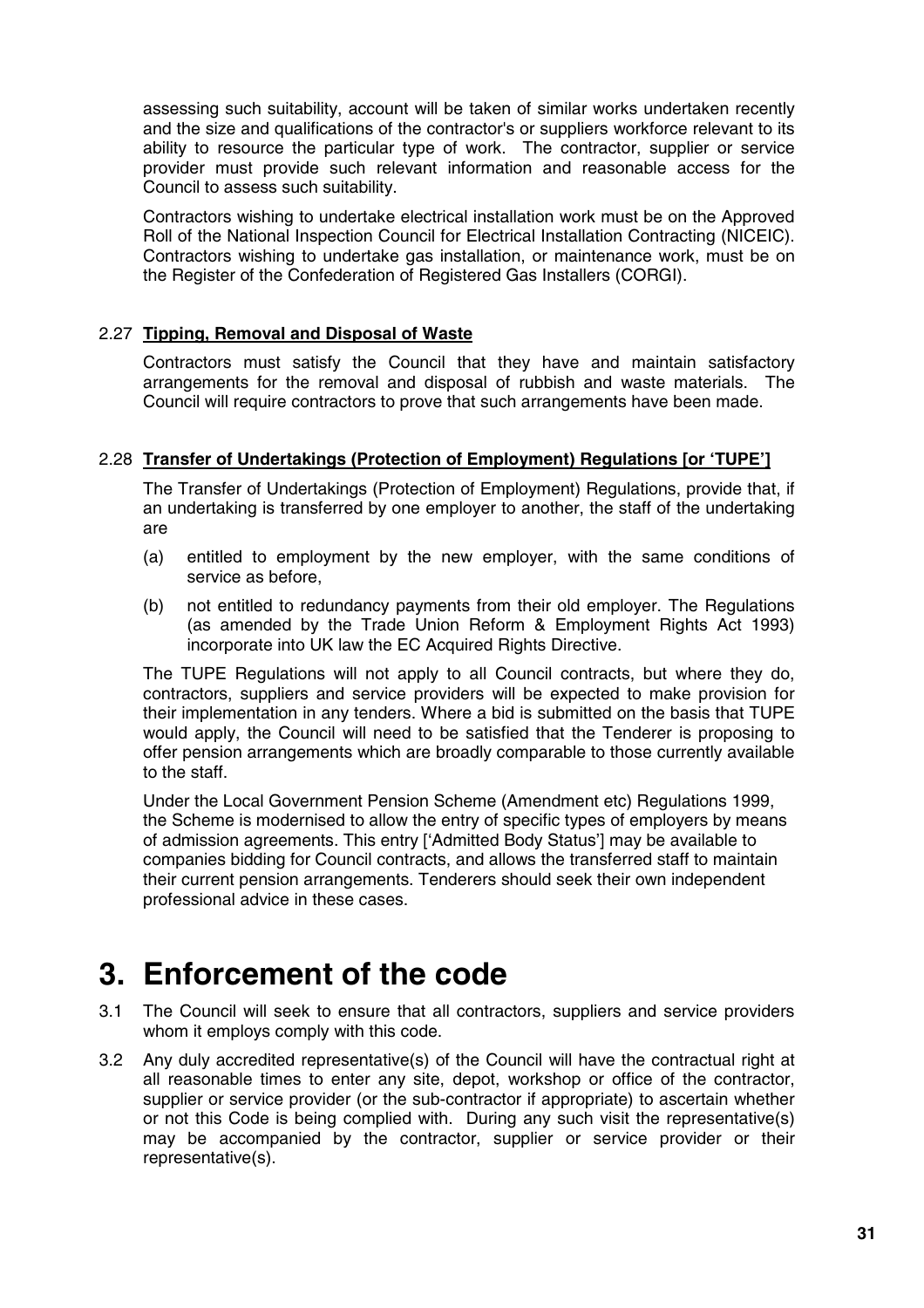assessing such suitability, account will be taken of similar works undertaken recently and the size and qualifications of the contractor's or suppliers workforce relevant to its ability to resource the particular type of work. The contractor, supplier or service provider must provide such relevant information and reasonable access for the Council to assess such suitability.

Contractors wishing to undertake electrical installation work must be on the Approved Roll of the National Inspection Council for Electrical Installation Contracting (NICEIC). Contractors wishing to undertake gas installation, or maintenance work, must be on the Register of the Confederation of Registered Gas Installers (CORGI).

#### 2.27 **Tipping, Removal and Disposal of Waste**

Contractors must satisfy the Council that they have and maintain satisfactory arrangements for the removal and disposal of rubbish and waste materials. The Council will require contractors to prove that such arrangements have been made.

#### 2.28 **Transfer of Undertakings (Protection of Employment) Regulations [or 'TUPE']**

The Transfer of Undertakings (Protection of Employment) Regulations, provide that, if an undertaking is transferred by one employer to another, the staff of the undertaking are

- (a) entitled to employment by the new employer, with the same conditions of service as before,
- (b) not entitled to redundancy payments from their old employer. The Regulations (as amended by the Trade Union Reform & Employment Rights Act 1993) incorporate into UK law the EC Acquired Rights Directive.

The TUPE Regulations will not apply to all Council contracts, but where they do, contractors, suppliers and service providers will be expected to make provision for their implementation in any tenders. Where a bid is submitted on the basis that TUPE would apply, the Council will need to be satisfied that the Tenderer is proposing to offer pension arrangements which are broadly comparable to those currently available to the staff.

Under the Local Government Pension Scheme (Amendment etc) Regulations 1999, the Scheme is modernised to allow the entry of specific types of employers by means of admission agreements. This entry ['Admitted Body Status'] may be available to companies bidding for Council contracts, and allows the transferred staff to maintain their current pension arrangements. Tenderers should seek their own independent professional advice in these cases.

### **3. Enforcement of the code**

- 3.1 The Council will seek to ensure that all contractors, suppliers and service providers whom it employs comply with this code.
- 3.2 Any duly accredited representative(s) of the Council will have the contractual right at all reasonable times to enter any site, depot, workshop or office of the contractor, supplier or service provider (or the sub-contractor if appropriate) to ascertain whether or not this Code is being complied with. During any such visit the representative(s) may be accompanied by the contractor, supplier or service provider or their representative(s).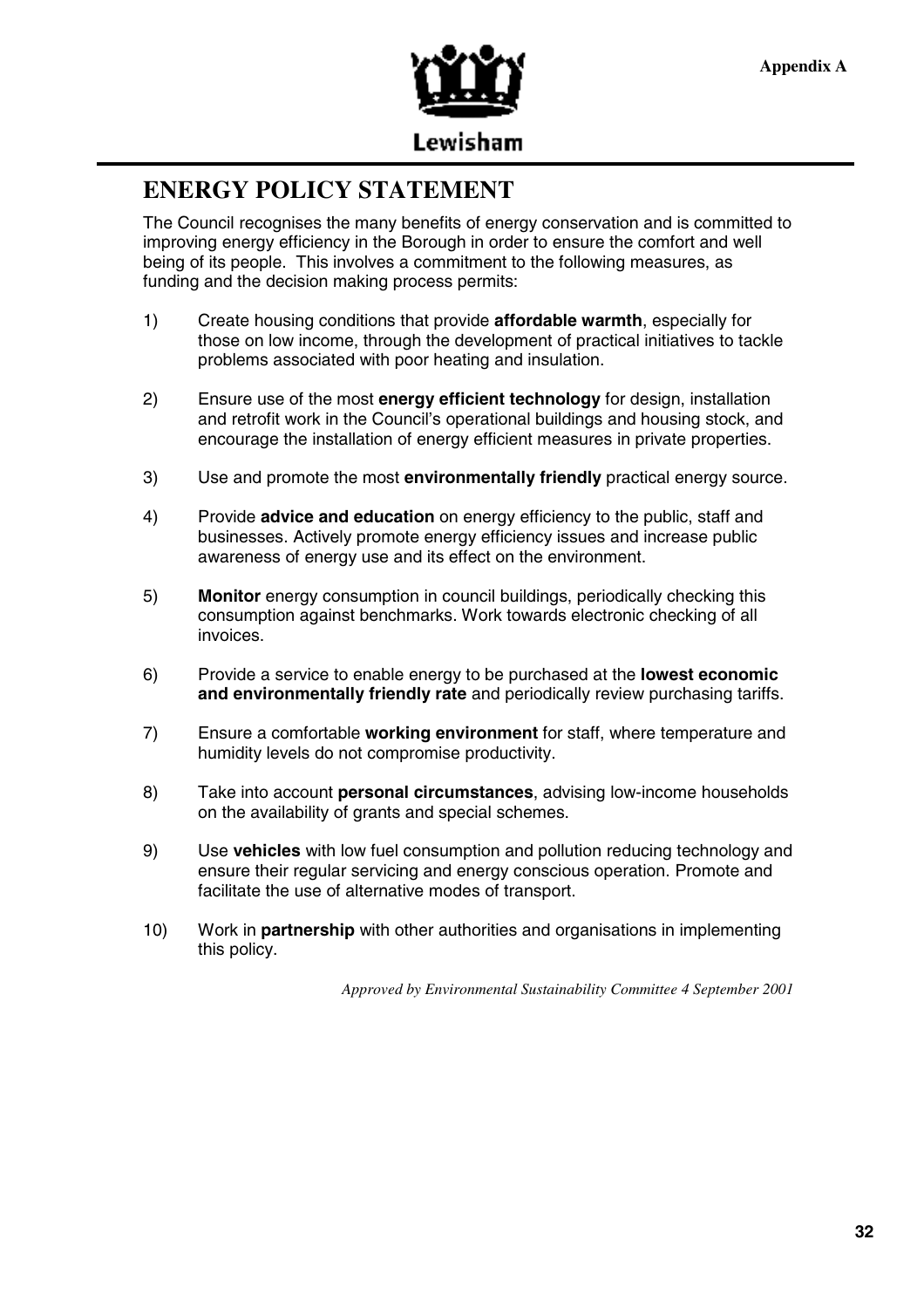

### **ENERGY POLICY STATEMENT**

The Council recognises the many benefits of energy conservation and is committed to improving energy efficiency in the Borough in order to ensure the comfort and well being of its people. This involves a commitment to the following measures, as funding and the decision making process permits:

- 1) Create housing conditions that provide **affordable warmth**, especially for those on low income, through the development of practical initiatives to tackle problems associated with poor heating and insulation.
- 2) Ensure use of the most **energy efficient technology** for design, installation and retrofit work in the Council's operational buildings and housing stock, and encourage the installation of energy efficient measures in private properties.
- 3) Use and promote the most **environmentally friendly** practical energy source.
- 4) Provide **advice and education** on energy efficiency to the public, staff and businesses. Actively promote energy efficiency issues and increase public awareness of energy use and its effect on the environment.
- 5) **Monitor** energy consumption in council buildings, periodically checking this consumption against benchmarks. Work towards electronic checking of all invoices.
- 6) Provide a service to enable energy to be purchased at the **lowest economic and environmentally friendly rate** and periodically review purchasing tariffs.
- 7) Ensure a comfortable **working environment** for staff, where temperature and humidity levels do not compromise productivity.
- 8) Take into account **personal circumstances**, advising low-income households on the availability of grants and special schemes.
- 9) Use **vehicles** with low fuel consumption and pollution reducing technology and ensure their regular servicing and energy conscious operation. Promote and facilitate the use of alternative modes of transport.
- 10) Work in **partnership** with other authorities and organisations in implementing this policy.

*Approved by Environmental Sustainability Committee 4 September 2001*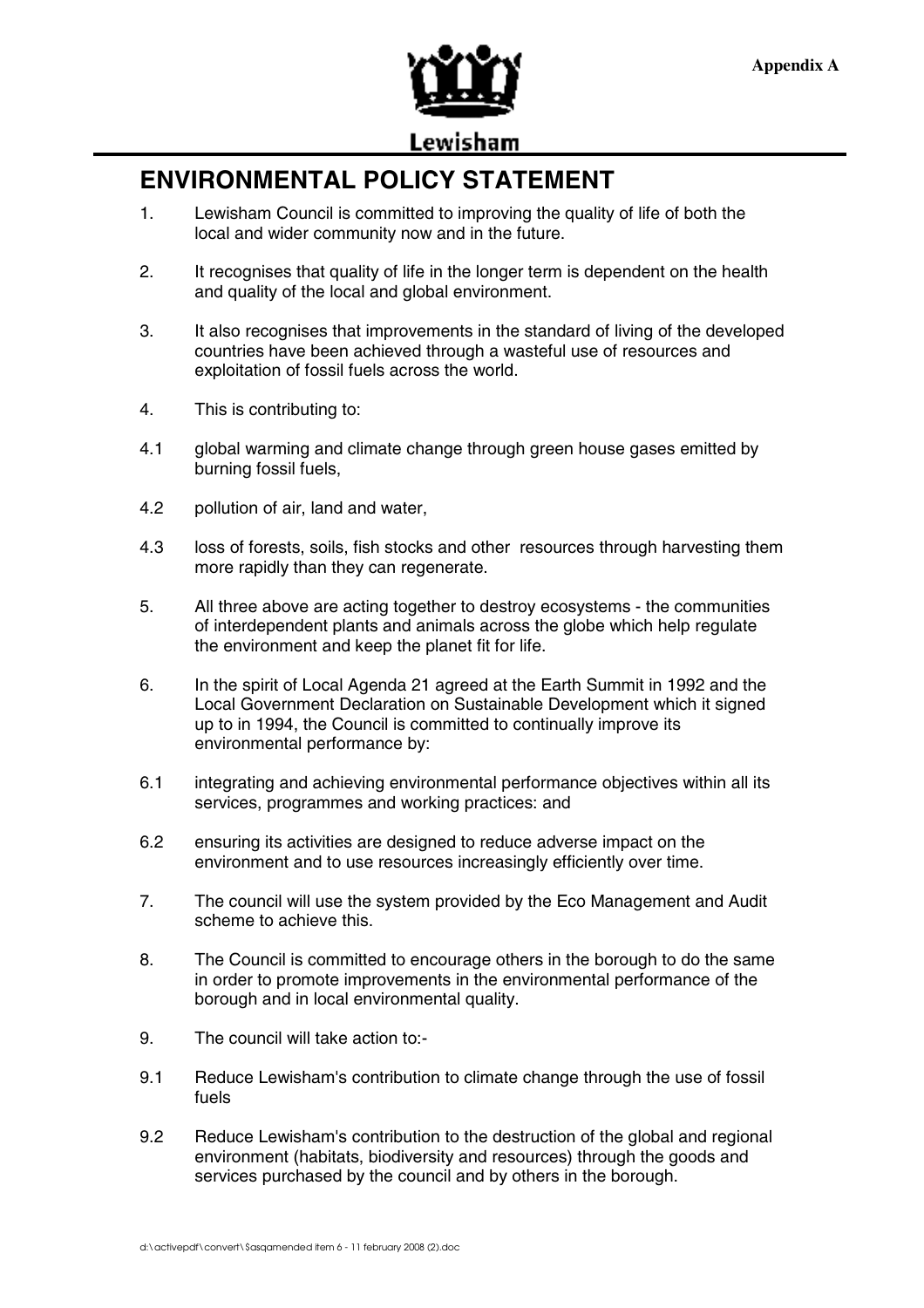

Lewisham

### **ENVIRONMENTAL POLICY STATEMENT**

- 1. Lewisham Council is committed to improving the quality of life of both the local and wider community now and in the future.
- 2. It recognises that quality of life in the longer term is dependent on the health and quality of the local and global environment.
- 3. It also recognises that improvements in the standard of living of the developed countries have been achieved through a wasteful use of resources and exploitation of fossil fuels across the world.
- 4. This is contributing to:
- 4.1 global warming and climate change through green house gases emitted by burning fossil fuels,
- 4.2 pollution of air, land and water,
- 4.3 loss of forests, soils, fish stocks and other resources through harvesting them more rapidly than they can regenerate.
- 5. All three above are acting together to destroy ecosystems the communities of interdependent plants and animals across the globe which help regulate the environment and keep the planet fit for life.
- 6. In the spirit of Local Agenda 21 agreed at the Earth Summit in 1992 and the Local Government Declaration on Sustainable Development which it signed up to in 1994, the Council is committed to continually improve its environmental performance by:
- 6.1 integrating and achieving environmental performance objectives within all its services, programmes and working practices: and
- 6.2 ensuring its activities are designed to reduce adverse impact on the environment and to use resources increasingly efficiently over time.
- 7. The council will use the system provided by the Eco Management and Audit scheme to achieve this.
- 8. The Council is committed to encourage others in the borough to do the same in order to promote improvements in the environmental performance of the borough and in local environmental quality.
- 9. The council will take action to:-
- 9.1 Reduce Lewisham's contribution to climate change through the use of fossil fuels
- 9.2 Reduce Lewisham's contribution to the destruction of the global and regional environment (habitats, biodiversity and resources) through the goods and services purchased by the council and by others in the borough.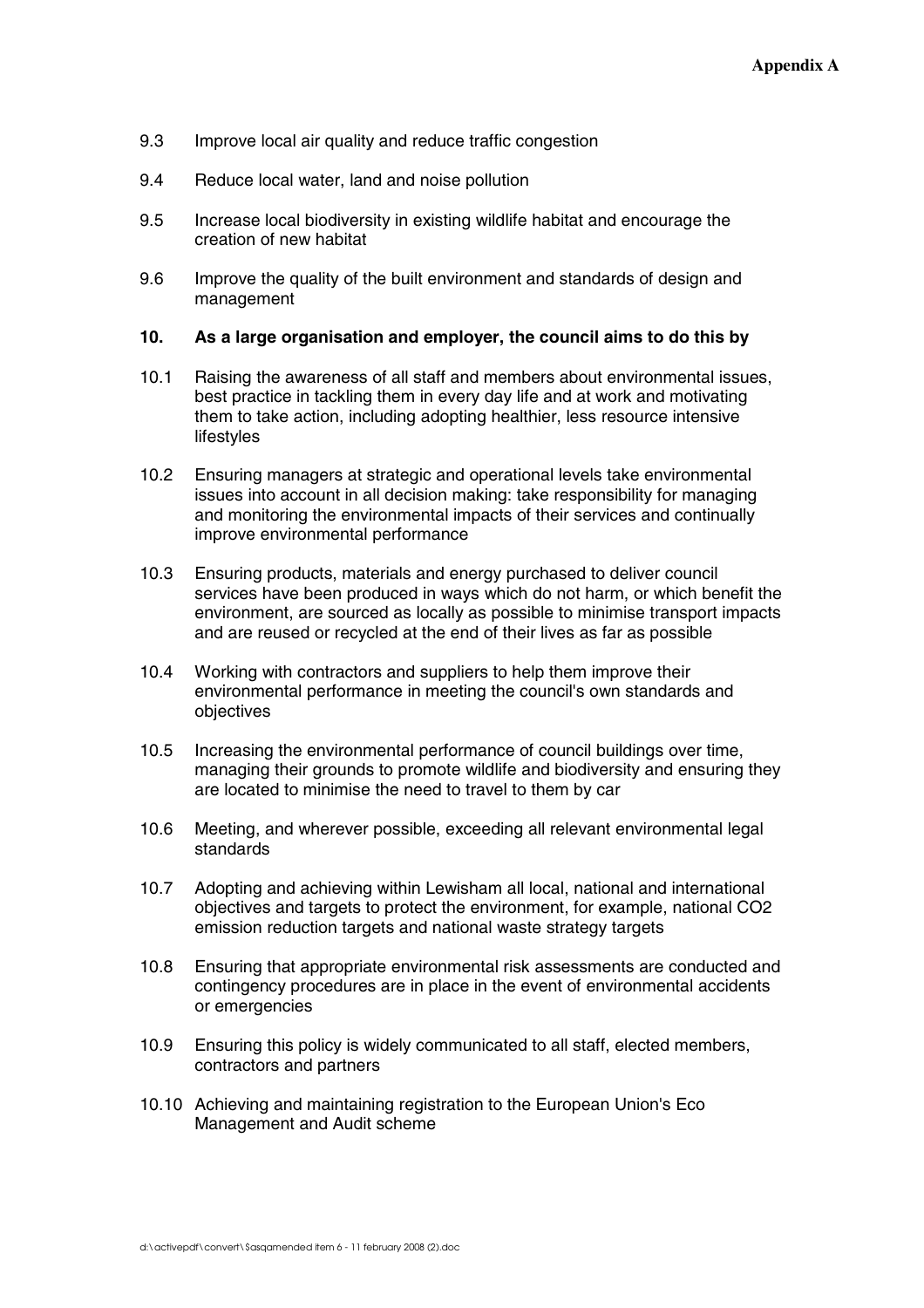- 9.3 Improve local air quality and reduce traffic congestion
- 9.4 Reduce local water, land and noise pollution
- 9.5 Increase local biodiversity in existing wildlife habitat and encourage the creation of new habitat
- 9.6 Improve the quality of the built environment and standards of design and management

#### **10. As a large organisation and employer, the council aims to do this by**

- 10.1 Raising the awareness of all staff and members about environmental issues, best practice in tackling them in every day life and at work and motivating them to take action, including adopting healthier, less resource intensive lifestyles
- 10.2 Ensuring managers at strategic and operational levels take environmental issues into account in all decision making: take responsibility for managing and monitoring the environmental impacts of their services and continually improve environmental performance
- 10.3 Ensuring products, materials and energy purchased to deliver council services have been produced in ways which do not harm, or which benefit the environment, are sourced as locally as possible to minimise transport impacts and are reused or recycled at the end of their lives as far as possible
- 10.4 Working with contractors and suppliers to help them improve their environmental performance in meeting the council's own standards and objectives
- 10.5 Increasing the environmental performance of council buildings over time, managing their grounds to promote wildlife and biodiversity and ensuring they are located to minimise the need to travel to them by car
- 10.6 Meeting, and wherever possible, exceeding all relevant environmental legal standards
- 10.7 Adopting and achieving within Lewisham all local, national and international objectives and targets to protect the environment, for example, national CO2 emission reduction targets and national waste strategy targets
- 10.8 Ensuring that appropriate environmental risk assessments are conducted and contingency procedures are in place in the event of environmental accidents or emergencies
- 10.9 Ensuring this policy is widely communicated to all staff, elected members, contractors and partners
- 10.10 Achieving and maintaining registration to the European Union's Eco Management and Audit scheme